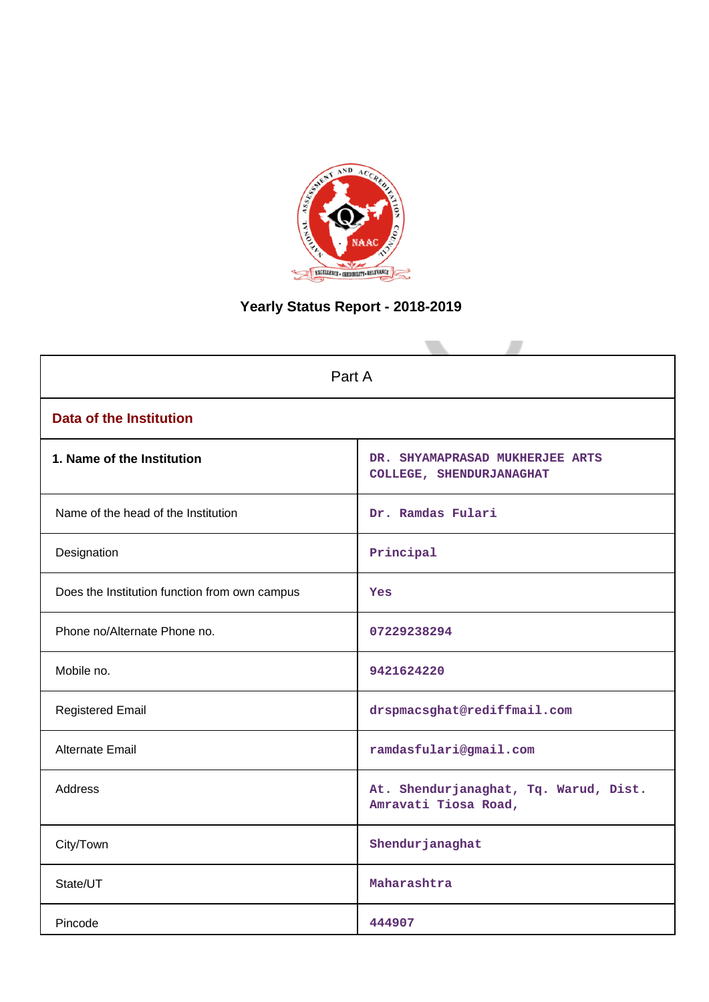

# **Yearly Status Report - 2018-2019**

| Part A                                        |                                                               |  |  |  |
|-----------------------------------------------|---------------------------------------------------------------|--|--|--|
| <b>Data of the Institution</b>                |                                                               |  |  |  |
| 1. Name of the Institution                    | DR. SHYAMAPRASAD MUKHERJEE ARTS<br>COLLEGE, SHENDURJANAGHAT   |  |  |  |
| Name of the head of the Institution           | Dr. Ramdas Fulari                                             |  |  |  |
| Designation                                   | Principal                                                     |  |  |  |
| Does the Institution function from own campus | Yes                                                           |  |  |  |
| Phone no/Alternate Phone no.                  | 07229238294                                                   |  |  |  |
| Mobile no.                                    | 9421624220                                                    |  |  |  |
| <b>Registered Email</b>                       | drspmacsghat@rediffmail.com                                   |  |  |  |
| Alternate Email                               | ramdasfulari@gmail.com                                        |  |  |  |
| <b>Address</b>                                | At. Shendurjanaghat, Tq. Warud, Dist.<br>Amravati Tiosa Road, |  |  |  |
| City/Town                                     | Shendurjanaghat                                               |  |  |  |
| State/UT                                      | Maharashtra                                                   |  |  |  |
| Pincode                                       | 444907                                                        |  |  |  |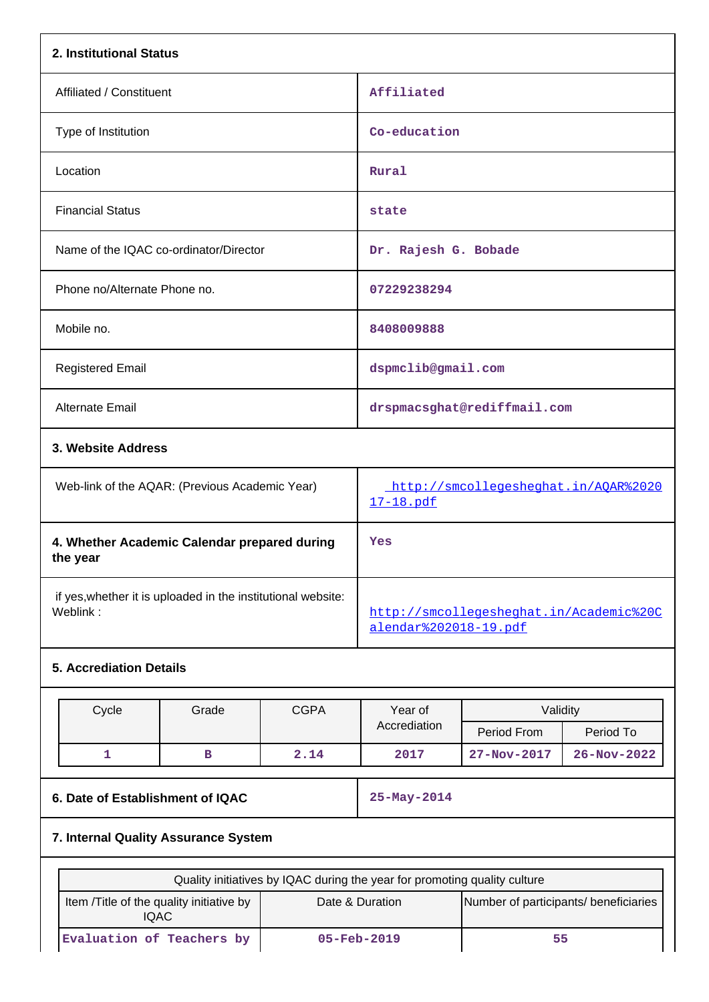|                          | 2. Institutional Status                                                  |                                                |                                                                  |                                                   |             |                   |  |
|--------------------------|--------------------------------------------------------------------------|------------------------------------------------|------------------------------------------------------------------|---------------------------------------------------|-------------|-------------------|--|
| Affiliated / Constituent |                                                                          |                                                | Affiliated                                                       |                                                   |             |                   |  |
|                          | Type of Institution                                                      |                                                |                                                                  | Co-education                                      |             |                   |  |
|                          | Location                                                                 |                                                |                                                                  | Rural                                             |             |                   |  |
|                          | <b>Financial Status</b>                                                  |                                                |                                                                  | state                                             |             |                   |  |
|                          |                                                                          | Name of the IQAC co-ordinator/Director         |                                                                  | Dr. Rajesh G. Bobade                              |             |                   |  |
|                          | Phone no/Alternate Phone no.                                             |                                                |                                                                  | 07229238294                                       |             |                   |  |
|                          | Mobile no.                                                               |                                                |                                                                  | 8408009888                                        |             |                   |  |
|                          | <b>Registered Email</b>                                                  |                                                |                                                                  | dspmclib@gmail.com                                |             |                   |  |
|                          | Alternate Email                                                          |                                                |                                                                  | drspmacsghat@rediffmail.com                       |             |                   |  |
| 3. Website Address       |                                                                          |                                                |                                                                  |                                                   |             |                   |  |
|                          |                                                                          | Web-link of the AQAR: (Previous Academic Year) |                                                                  | http://smcollegesheghat.in/AQAR%2020<br>17-18.pdf |             |                   |  |
|                          | 4. Whether Academic Calendar prepared during<br>the year                 |                                                |                                                                  | Yes                                               |             |                   |  |
|                          | if yes, whether it is uploaded in the institutional website:<br>Weblink: |                                                | http://smcollegesheghat.in/Academic%20C<br>alendar%202018-19.pdf |                                                   |             |                   |  |
|                          | <b>5. Accrediation Details</b>                                           |                                                |                                                                  |                                                   |             |                   |  |
|                          | Cycle                                                                    | Grade                                          | <b>CGPA</b>                                                      | Year of                                           | Validity    |                   |  |
|                          |                                                                          |                                                |                                                                  | Accrediation                                      | Period From | Period To         |  |
|                          | 1                                                                        | $\, {\bf B}$                                   | 2.14                                                             | 2017                                              | 27-Nov-2017 | $26 - Nov - 2022$ |  |

**6. Date of Establishment of IQAC** 25-May-2014

## **7. Internal Quality Assurance System**

| Quality initiatives by IQAC during the year for promoting quality culture                                      |                          |  |  |  |  |
|----------------------------------------------------------------------------------------------------------------|--------------------------|--|--|--|--|
| Number of participants/ beneficiaries<br>Item / Title of the quality initiative by<br>Date & Duration<br>IQAC. |                          |  |  |  |  |
| Evaluation of Teachers by                                                                                      | $05 - \text{Feb} - 2019$ |  |  |  |  |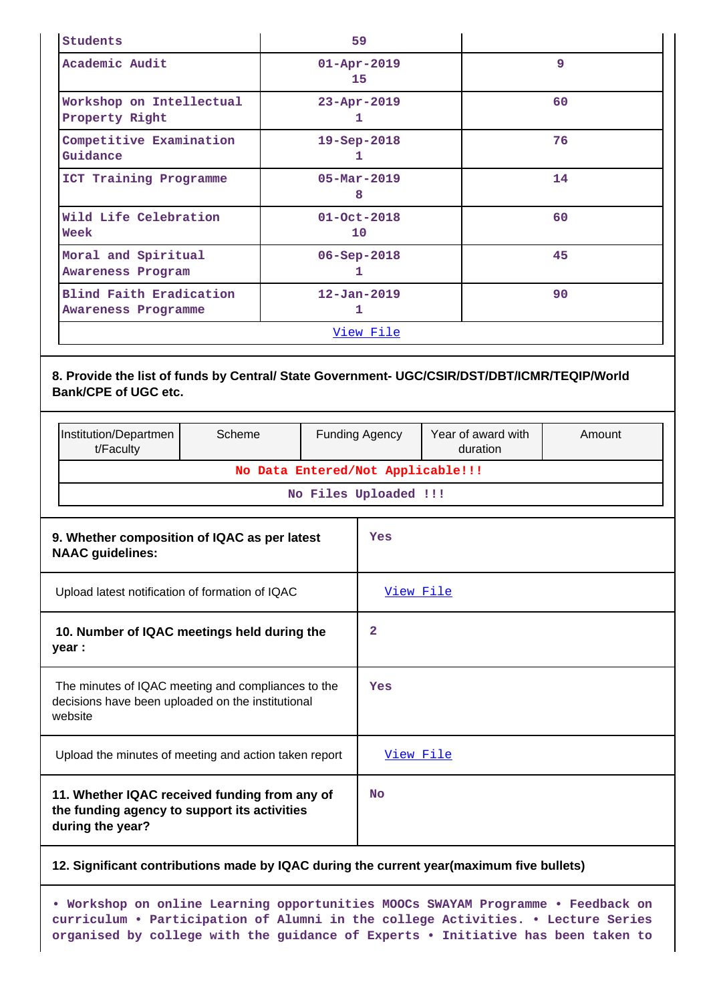| Students                                       | 59                            |    |
|------------------------------------------------|-------------------------------|----|
| Academic Audit                                 | $01 - Apr - 2019$<br>15       | 9  |
| Workshop on Intellectual<br>Property Right     | $23 - Apr - 2019$<br>ı        | 60 |
| Competitive Examination<br>Guidance            | $19 - Sep - 2018$<br>1        | 76 |
| ICT Training Programme                         | $05 - \text{Mar} - 2019$<br>8 | 14 |
| Wild Life Celebration<br>Week                  | $01 - Oct - 2018$<br>10       | 60 |
| Moral and Spiritual<br>Awareness Program       | $06 - Sep - 2018$<br>1        | 45 |
| Blind Faith Eradication<br>Awareness Programme | $12 - Jan - 2019$<br>1        | 90 |
|                                                | <u>View File</u>              |    |

### **8. Provide the list of funds by Central/ State Government- UGC/CSIR/DST/DBT/ICMR/TEQIP/World Bank/CPE of UGC etc.**

|                                                                                                                    | Institution/Departmen<br>t/Faculty                    | Scheme                            |              | <b>Funding Agency</b> | Year of award with<br>duration | Amount |
|--------------------------------------------------------------------------------------------------------------------|-------------------------------------------------------|-----------------------------------|--------------|-----------------------|--------------------------------|--------|
|                                                                                                                    |                                                       | No Data Entered/Not Applicable!!! |              |                       |                                |        |
|                                                                                                                    |                                                       |                                   |              | No Files Uploaded !!! |                                |        |
| 9. Whether composition of IQAC as per latest<br><b>NAAC guidelines:</b>                                            |                                                       |                                   |              | Yes                   |                                |        |
| Upload latest notification of formation of IQAC                                                                    |                                                       |                                   |              | View File             |                                |        |
| 10. Number of IQAC meetings held during the<br>year :                                                              |                                                       |                                   | $\mathbf{2}$ |                       |                                |        |
| The minutes of IQAC meeting and compliances to the<br>decisions have been uploaded on the institutional<br>website |                                                       |                                   |              | Yes                   |                                |        |
|                                                                                                                    | Upload the minutes of meeting and action taken report |                                   |              | View File             |                                |        |
| 11. Whether IQAC received funding from any of<br>the funding agency to support its activities<br>during the year?  |                                                       |                                   | <b>No</b>    |                       |                                |        |

#### **12. Significant contributions made by IQAC during the current year(maximum five bullets)**

**• Workshop on online Learning opportunities MOOCs SWAYAM Programme • Feedback on curriculum • Participation of Alumni in the college Activities. • Lecture Series organised by college with the guidance of Experts • Initiative has been taken to**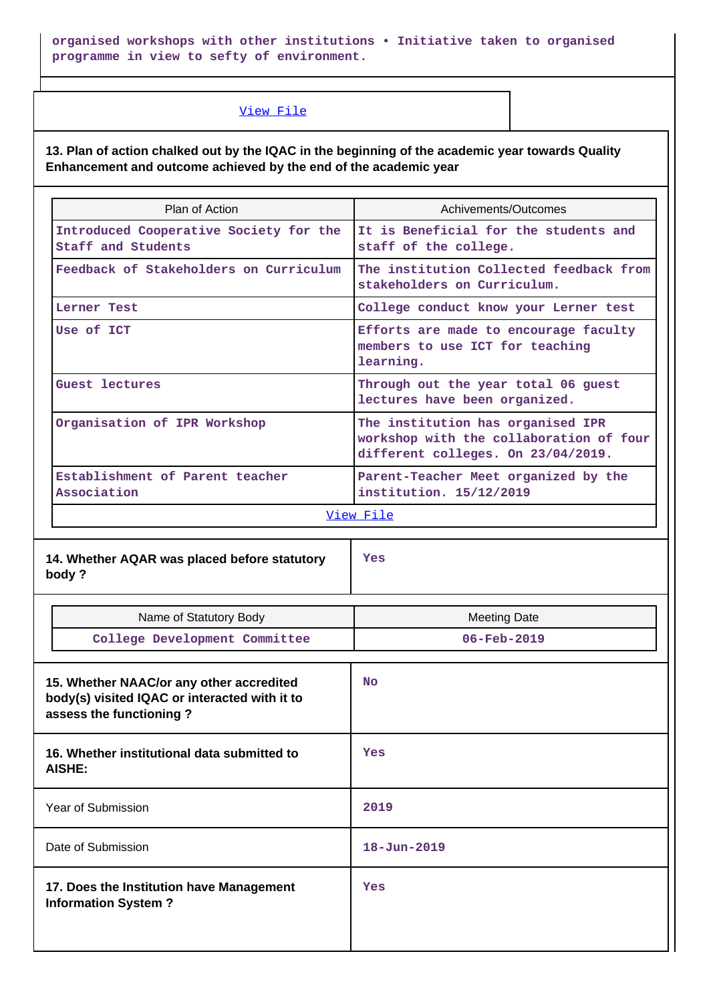**organised workshops with other institutions • Initiative taken to organised programme in view to sefty of environment.**

#### [View File](https://assessmentonline.naac.gov.in/public/Postacc/Contribution/17418_Contribution.xlsx)

**13. Plan of action chalked out by the IQAC in the beginning of the academic year towards Quality Enhancement and outcome achieved by the end of the academic year**

| Plan of Action                                               | Achivements/Outcomes                                                                                               |
|--------------------------------------------------------------|--------------------------------------------------------------------------------------------------------------------|
| Introduced Cooperative Society for the<br>Staff and Students | It is Beneficial for the students and<br>staff of the college.                                                     |
| Feedback of Stakeholders on Curriculum                       | The institution Collected feedback from<br>stakeholders on Curriculum.                                             |
| Lerner Test                                                  | College conduct know your Lerner test                                                                              |
| Use of ICT                                                   | Efforts are made to encourage faculty<br>members to use ICT for teaching<br>learning.                              |
| Guest lectures                                               | Through out the year total 06 guest<br>lectures have been organized.                                               |
| Organisation of IPR Workshop                                 | The institution has organised IPR<br>workshop with the collaboration of four<br>different colleges. On 23/04/2019. |
| Establishment of Parent teacher<br>Association               | Parent-Teacher Meet organized by the<br>institution. 15/12/2019                                                    |

[View File](https://assessmentonline.naac.gov.in/public/Postacc/Quality/17418_Quality.xlsx)

**14. Whether AQAR was placed before statutory body ?**

**Yes**

| Name of Statutory Body                                                                                               | <b>Meeting Date</b> |
|----------------------------------------------------------------------------------------------------------------------|---------------------|
| College Development Committee                                                                                        | $06 - Feb - 2019$   |
|                                                                                                                      |                     |
| 15. Whether NAAC/or any other accredited<br>body(s) visited IQAC or interacted with it to<br>assess the functioning? | <b>No</b>           |
| 16. Whether institutional data submitted to<br><b>AISHE:</b>                                                         | Yes                 |
| Year of Submission                                                                                                   | 2019                |
| Date of Submission                                                                                                   | $18 - Jun - 2019$   |
| 17. Does the Institution have Management<br><b>Information System?</b>                                               | Yes                 |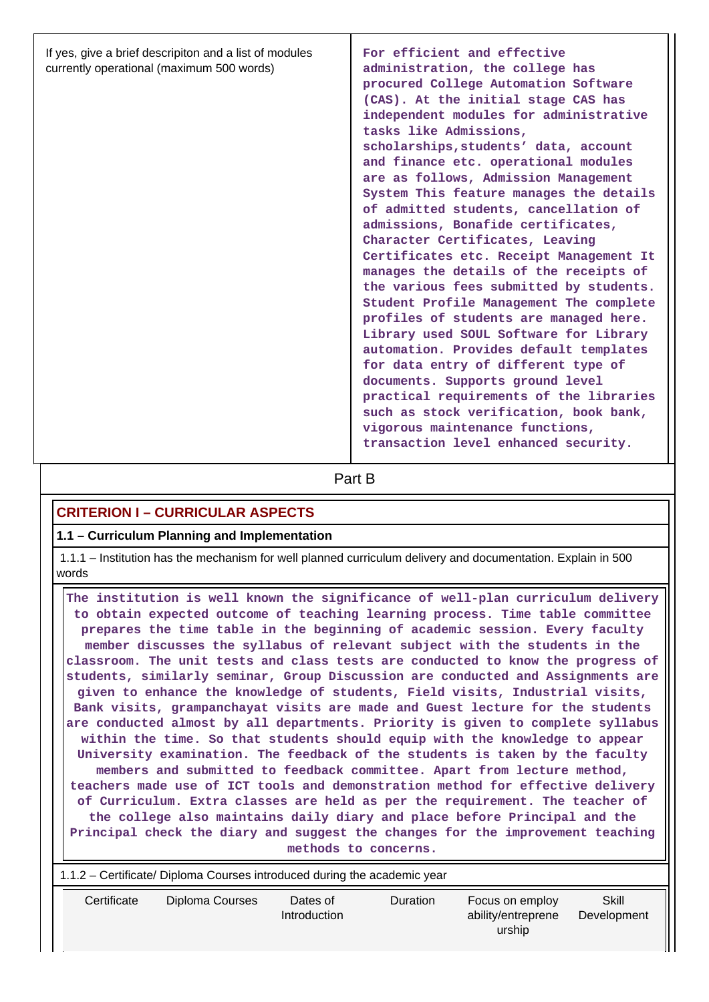| If yes, give a brief descripiton and a list of modules<br>currently operational (maximum 500 words) | For efficient and effective<br>administration, the college has<br>procured College Automation Software<br>(CAS). At the initial stage CAS has<br>independent modules for administrative<br>tasks like Admissions,<br>scholarships, students' data, account<br>and finance etc. operational modules<br>are as follows, Admission Management<br>System This feature manages the details<br>of admitted students, cancellation of<br>admissions, Bonafide certificates,<br>Character Certificates, Leaving<br>Certificates etc. Receipt Management It<br>manages the details of the receipts of<br>the various fees submitted by students.<br>Student Profile Management The complete<br>profiles of students are managed here.<br>Library used SOUL Software for Library<br>automation. Provides default templates<br>for data entry of different type of<br>documents. Supports ground level<br>practical requirements of the libraries |
|-----------------------------------------------------------------------------------------------------|----------------------------------------------------------------------------------------------------------------------------------------------------------------------------------------------------------------------------------------------------------------------------------------------------------------------------------------------------------------------------------------------------------------------------------------------------------------------------------------------------------------------------------------------------------------------------------------------------------------------------------------------------------------------------------------------------------------------------------------------------------------------------------------------------------------------------------------------------------------------------------------------------------------------------------------|
|                                                                                                     | such as stock verification, book bank,<br>vigorous maintenance functions,<br>transaction level enhanced security.                                                                                                                                                                                                                                                                                                                                                                                                                                                                                                                                                                                                                                                                                                                                                                                                                      |

**Part B** 

## **CRITERION I – CURRICULAR ASPECTS**

#### **1.1 – Curriculum Planning and Implementation**

 1.1.1 – Institution has the mechanism for well planned curriculum delivery and documentation. Explain in 500 words

 **The institution is well known the significance of well-plan curriculum delivery to obtain expected outcome of teaching learning process. Time table committee prepares the time table in the beginning of academic session. Every faculty member discusses the syllabus of relevant subject with the students in the classroom. The unit tests and class tests are conducted to know the progress of students, similarly seminar, Group Discussion are conducted and Assignments are given to enhance the knowledge of students, Field visits, Industrial visits, Bank visits, grampanchayat visits are made and Guest lecture for the students are conducted almost by all departments. Priority is given to complete syllabus within the time. So that students should equip with the knowledge to appear University examination. The feedback of the students is taken by the faculty members and submitted to feedback committee. Apart from lecture method, teachers made use of ICT tools and demonstration method for effective delivery of Curriculum. Extra classes are held as per the requirement. The teacher of the college also maintains daily diary and place before Principal and the Principal check the diary and suggest the changes for the improvement teaching methods to concerns.**

| 1.1.2 – Certificate/ Diploma Courses introduced during the academic year |                 |                          |                 |                                                 |                      |  |  |
|--------------------------------------------------------------------------|-----------------|--------------------------|-----------------|-------------------------------------------------|----------------------|--|--|
| Certificate                                                              | Diploma Courses | Dates of<br>Introduction | <b>Duration</b> | Focus on employ<br>ability/entreprene<br>urship | Skill<br>Development |  |  |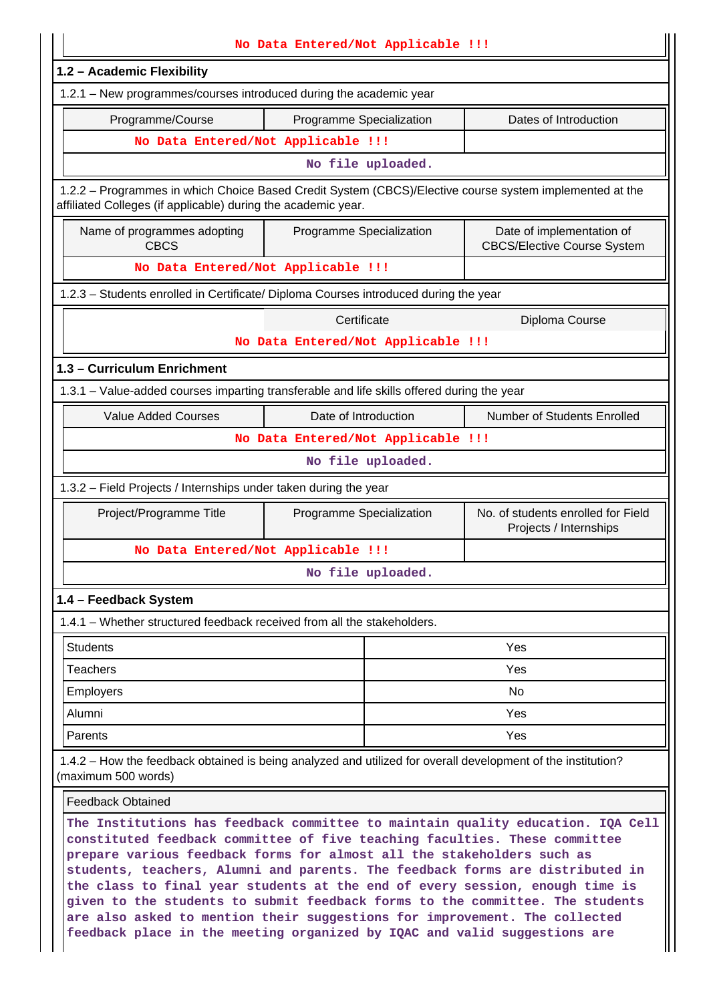| No Data Entered/Not Applicable !!!                                                                                                                                                                                                                                                                                                                                                                       |                                    |                                                                                                         |  |  |  |  |
|----------------------------------------------------------------------------------------------------------------------------------------------------------------------------------------------------------------------------------------------------------------------------------------------------------------------------------------------------------------------------------------------------------|------------------------------------|---------------------------------------------------------------------------------------------------------|--|--|--|--|
| 1.2 - Academic Flexibility                                                                                                                                                                                                                                                                                                                                                                               |                                    |                                                                                                         |  |  |  |  |
| 1.2.1 - New programmes/courses introduced during the academic year                                                                                                                                                                                                                                                                                                                                       |                                    |                                                                                                         |  |  |  |  |
| Programme/Course                                                                                                                                                                                                                                                                                                                                                                                         | Programme Specialization           | Dates of Introduction                                                                                   |  |  |  |  |
| No Data Entered/Not Applicable !!!                                                                                                                                                                                                                                                                                                                                                                       |                                    |                                                                                                         |  |  |  |  |
| No file uploaded.                                                                                                                                                                                                                                                                                                                                                                                        |                                    |                                                                                                         |  |  |  |  |
| affiliated Colleges (if applicable) during the academic year.                                                                                                                                                                                                                                                                                                                                            |                                    | 1.2.2 - Programmes in which Choice Based Credit System (CBCS)/Elective course system implemented at the |  |  |  |  |
| Name of programmes adopting<br><b>CBCS</b>                                                                                                                                                                                                                                                                                                                                                               | Programme Specialization           | Date of implementation of<br><b>CBCS/Elective Course System</b>                                         |  |  |  |  |
| No Data Entered/Not Applicable !!!                                                                                                                                                                                                                                                                                                                                                                       |                                    |                                                                                                         |  |  |  |  |
| 1.2.3 - Students enrolled in Certificate/ Diploma Courses introduced during the year                                                                                                                                                                                                                                                                                                                     |                                    |                                                                                                         |  |  |  |  |
|                                                                                                                                                                                                                                                                                                                                                                                                          | Certificate                        | Diploma Course                                                                                          |  |  |  |  |
|                                                                                                                                                                                                                                                                                                                                                                                                          | No Data Entered/Not Applicable !!! |                                                                                                         |  |  |  |  |
| 1.3 - Curriculum Enrichment                                                                                                                                                                                                                                                                                                                                                                              |                                    |                                                                                                         |  |  |  |  |
| 1.3.1 - Value-added courses imparting transferable and life skills offered during the year                                                                                                                                                                                                                                                                                                               |                                    |                                                                                                         |  |  |  |  |
| <b>Value Added Courses</b>                                                                                                                                                                                                                                                                                                                                                                               | Date of Introduction               | Number of Students Enrolled                                                                             |  |  |  |  |
|                                                                                                                                                                                                                                                                                                                                                                                                          | No Data Entered/Not Applicable !!! |                                                                                                         |  |  |  |  |
|                                                                                                                                                                                                                                                                                                                                                                                                          | No file uploaded.                  |                                                                                                         |  |  |  |  |
| 1.3.2 - Field Projects / Internships under taken during the year                                                                                                                                                                                                                                                                                                                                         |                                    |                                                                                                         |  |  |  |  |
| Project/Programme Title                                                                                                                                                                                                                                                                                                                                                                                  | Programme Specialization           | No. of students enrolled for Field<br>Projects / Internships                                            |  |  |  |  |
| No Data Entered/Not Applicable !!!                                                                                                                                                                                                                                                                                                                                                                       |                                    |                                                                                                         |  |  |  |  |
|                                                                                                                                                                                                                                                                                                                                                                                                          | No file uploaded.                  |                                                                                                         |  |  |  |  |
| 1.4 - Feedback System                                                                                                                                                                                                                                                                                                                                                                                    |                                    |                                                                                                         |  |  |  |  |
| 1.4.1 - Whether structured feedback received from all the stakeholders.                                                                                                                                                                                                                                                                                                                                  |                                    |                                                                                                         |  |  |  |  |
| <b>Students</b>                                                                                                                                                                                                                                                                                                                                                                                          |                                    | Yes                                                                                                     |  |  |  |  |
| <b>Teachers</b>                                                                                                                                                                                                                                                                                                                                                                                          |                                    | Yes                                                                                                     |  |  |  |  |
| Employers                                                                                                                                                                                                                                                                                                                                                                                                |                                    | No                                                                                                      |  |  |  |  |
| Alumni                                                                                                                                                                                                                                                                                                                                                                                                   |                                    | Yes                                                                                                     |  |  |  |  |
| Parents                                                                                                                                                                                                                                                                                                                                                                                                  |                                    | Yes                                                                                                     |  |  |  |  |
| 1.4.2 - How the feedback obtained is being analyzed and utilized for overall development of the institution?<br>(maximum 500 words)                                                                                                                                                                                                                                                                      |                                    |                                                                                                         |  |  |  |  |
| <b>Feedback Obtained</b>                                                                                                                                                                                                                                                                                                                                                                                 |                                    |                                                                                                         |  |  |  |  |
| The Institutions has feedback committee to maintain quality education. IQA Cell<br>constituted feedback committee of five teaching faculties. These committee<br>prepare various feedback forms for almost all the stakeholders such as<br>students, teachers, Alumni and parents. The feedback forms are distributed in<br>the class to final year students at the end of every session, enough time is |                                    |                                                                                                         |  |  |  |  |

**the class to final year students at the end of every session, enough time is given to the students to submit feedback forms to the committee. The students are also asked to mention their suggestions for improvement. The collected feedback place in the meeting organized by IQAC and valid suggestions are**

II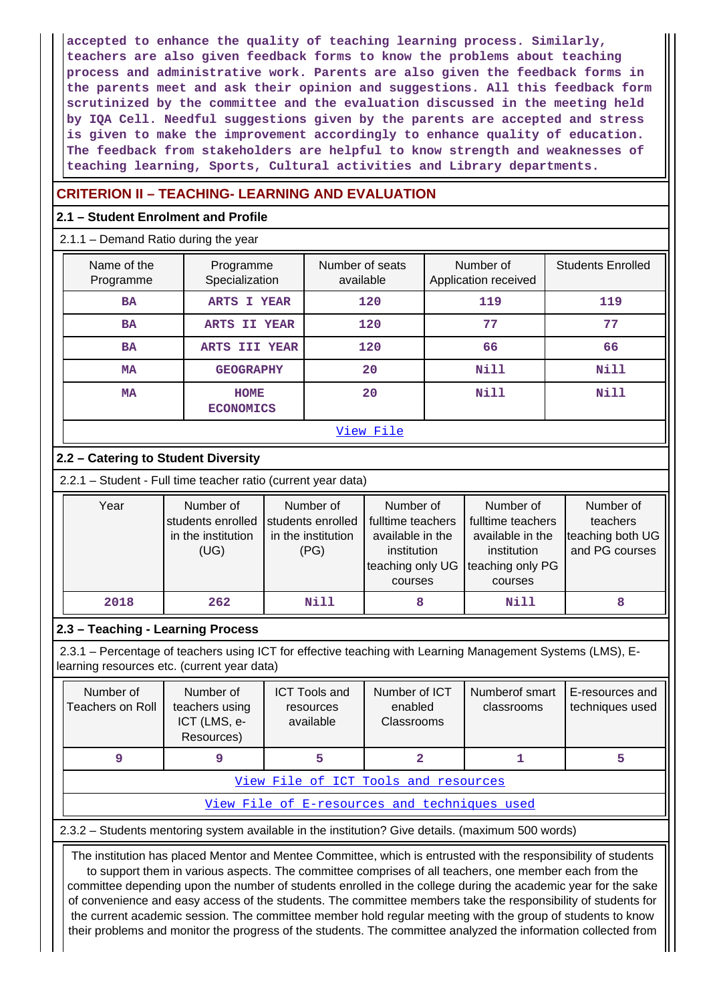**accepted to enhance the quality of teaching learning process. Similarly, teachers are also given feedback forms to know the problems about teaching process and administrative work. Parents are also given the feedback forms in the parents meet and ask their opinion and suggestions. All this feedback form scrutinized by the committee and the evaluation discussed in the meeting held by IQA Cell. Needful suggestions given by the parents are accepted and stress is given to make the improvement accordingly to enhance quality of education. The feedback from stakeholders are helpful to know strength and weaknesses of teaching learning, Sports, Cultural activities and Library departments.**

## **CRITERION II – TEACHING- LEARNING AND EVALUATION**

#### **2.1 – Student Enrolment and Profile**

2.1.1 – Demand Ratio during the year

| Name of the<br>Programme | Programme<br>Specialization     | Number of seats<br>available | Number of<br>Application received | <b>Students Enrolled</b> |
|--------------------------|---------------------------------|------------------------------|-----------------------------------|--------------------------|
| <b>BA</b>                | ARTS I YEAR                     | 120                          | 119                               | 119                      |
| <b>BA</b>                | ARTS II YEAR                    | 120                          | 77                                | 77                       |
| <b>BA</b>                | ARTS III YEAR                   | 120                          | 66                                | 66                       |
| <b>MA</b>                | <b>GEOGRAPHY</b>                | 20                           | <b>Nill</b>                       | <b>Nill</b>              |
| <b>MA</b>                | <b>HOME</b><br><b>ECONOMICS</b> | 20                           | Nill                              | <b>Nill</b>              |
|                          |                                 | View File                    |                                   |                          |

## **2.2 – Catering to Student Diversity**

2.2.1 – Student - Full time teacher ratio (current year data)

| Year | Number of<br>students enrolled | Number of<br>students enrolled | Number of<br>fulltime teachers  | Number of<br>fulltime teachers  | Number of<br>teachers |
|------|--------------------------------|--------------------------------|---------------------------------|---------------------------------|-----------------------|
|      | in the institution             | in the institution             | available in the                | available in the                | teaching both UG      |
|      | (UG)                           | (PG)                           | institution<br>teaching only UG | institution<br>teaching only PG | and PG courses        |
|      |                                |                                | courses                         | courses                         |                       |
| 2018 | 262                            | Nill                           | 8                               | Nill                            |                       |

## **2.3 – Teaching - Learning Process**

 2.3.1 – Percentage of teachers using ICT for effective teaching with Learning Management Systems (LMS), Elearning resources etc. (current year data)

| Number of<br>Teachers on Roll        | Number of<br><b>ICT Tools and</b><br>teachers using<br>resources<br>ICT (LMS, e-<br>available<br>Resources) |  | Number of ICT<br>enabled<br><b>Classrooms</b> | Numberof smart<br>classrooms | E-resources and<br>techniques used |  |  |  |  |  |
|--------------------------------------|-------------------------------------------------------------------------------------------------------------|--|-----------------------------------------------|------------------------------|------------------------------------|--|--|--|--|--|
|                                      |                                                                                                             |  |                                               |                              |                                    |  |  |  |  |  |
| View File of ICT Tools and resources |                                                                                                             |  |                                               |                              |                                    |  |  |  |  |  |

[View File of E-resources and techniques used](https://assessmentonline.naac.gov.in/public/Postacc/e_resource/17418_e_resource_1640752136.xlsx)

2.3.2 – Students mentoring system available in the institution? Give details. (maximum 500 words)

 The institution has placed Mentor and Mentee Committee, which is entrusted with the responsibility of students to support them in various aspects. The committee comprises of all teachers, one member each from the committee depending upon the number of students enrolled in the college during the academic year for the sake of convenience and easy access of the students. The committee members take the responsibility of students for the current academic session. The committee member hold regular meeting with the group of students to know their problems and monitor the progress of the students. The committee analyzed the information collected from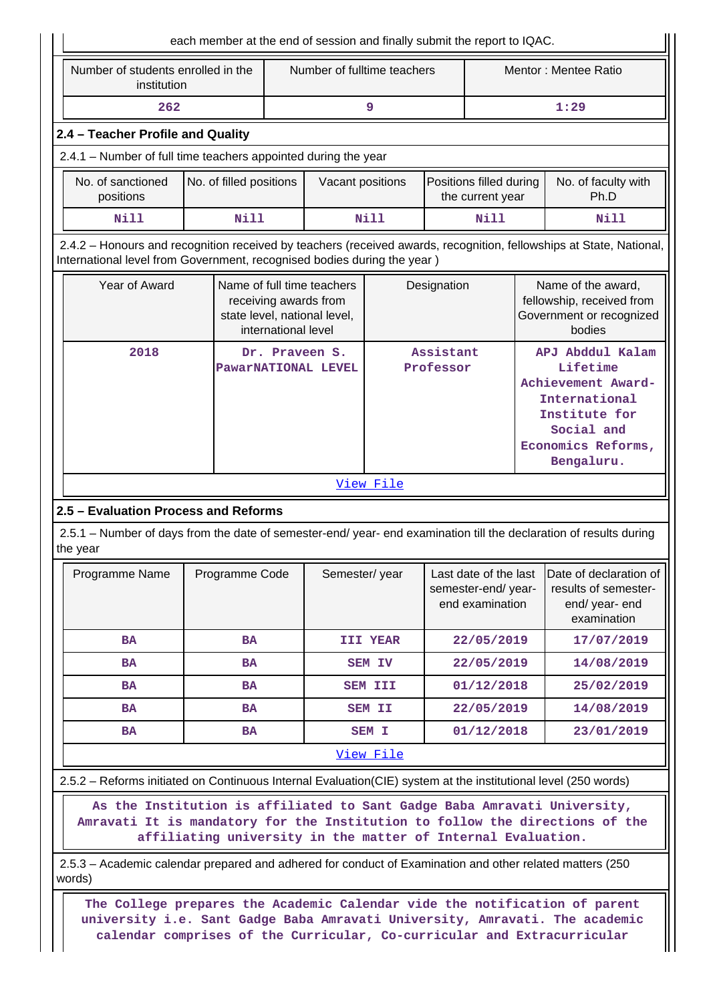|                                                                                                                                                                                                                                      | each member at the end of session and finally submit the report to IQAC. |                     |                                                                                     |                |                        |                                                                |  |                                                                                                                                        |  |  |
|--------------------------------------------------------------------------------------------------------------------------------------------------------------------------------------------------------------------------------------|--------------------------------------------------------------------------|---------------------|-------------------------------------------------------------------------------------|----------------|------------------------|----------------------------------------------------------------|--|----------------------------------------------------------------------------------------------------------------------------------------|--|--|
| Number of students enrolled in the<br>Number of fulltime teachers<br>Mentor: Mentee Ratio<br>institution                                                                                                                             |                                                                          |                     |                                                                                     |                |                        |                                                                |  |                                                                                                                                        |  |  |
| 262                                                                                                                                                                                                                                  |                                                                          |                     |                                                                                     | 9              |                        |                                                                |  | 1:29                                                                                                                                   |  |  |
| 2.4 - Teacher Profile and Quality                                                                                                                                                                                                    |                                                                          |                     |                                                                                     |                |                        |                                                                |  |                                                                                                                                        |  |  |
| 2.4.1 – Number of full time teachers appointed during the year                                                                                                                                                                       |                                                                          |                     |                                                                                     |                |                        |                                                                |  |                                                                                                                                        |  |  |
| No. of sanctioned<br>positions                                                                                                                                                                                                       | No. of filled positions                                                  |                     | Vacant positions                                                                    |                |                        | Positions filled during<br>the current year                    |  | No. of faculty with<br>Ph.D                                                                                                            |  |  |
| <b>Nill</b>                                                                                                                                                                                                                          | <b>Nill</b>                                                              |                     |                                                                                     | Nill           |                        | <b>Nill</b>                                                    |  | <b>Nill</b>                                                                                                                            |  |  |
| 2.4.2 - Honours and recognition received by teachers (received awards, recognition, fellowships at State, National,<br>International level from Government, recognised bodies during the year)                                       |                                                                          |                     |                                                                                     |                |                        |                                                                |  |                                                                                                                                        |  |  |
| Year of Award                                                                                                                                                                                                                        |                                                                          | international level | Name of full time teachers<br>receiving awards from<br>state level, national level, |                | Designation            |                                                                |  | Name of the award,<br>fellowship, received from<br>Government or recognized<br>bodies                                                  |  |  |
| 2018                                                                                                                                                                                                                                 |                                                                          |                     | Dr. Praveen S.<br>PawarNATIONAL LEVEL                                               |                | Assistant<br>Professor |                                                                |  | APJ Abddul Kalam<br>Lifetime<br>Achievement Award-<br>International<br>Institute for<br>Social and<br>Economics Reforms,<br>Bengaluru. |  |  |
|                                                                                                                                                                                                                                      |                                                                          |                     |                                                                                     | View File      |                        |                                                                |  |                                                                                                                                        |  |  |
| 2.5 - Evaluation Process and Reforms                                                                                                                                                                                                 |                                                                          |                     |                                                                                     |                |                        |                                                                |  |                                                                                                                                        |  |  |
| 2.5.1 – Number of days from the date of semester-end/ year- end examination till the declaration of results during<br>the year                                                                                                       |                                                                          |                     |                                                                                     |                |                        |                                                                |  |                                                                                                                                        |  |  |
| Programme Name                                                                                                                                                                                                                       | Programme Code                                                           |                     | Semester/year                                                                       |                |                        | Last date of the last<br>semester-end/year-<br>end examination |  | Date of declaration of<br>results of semester-<br>end/ year- end<br>examination                                                        |  |  |
| <b>BA</b>                                                                                                                                                                                                                            | <b>BA</b>                                                                |                     |                                                                                     | III YEAR       |                        | 22/05/2019                                                     |  | 17/07/2019                                                                                                                             |  |  |
| <b>BA</b>                                                                                                                                                                                                                            | <b>BA</b>                                                                |                     |                                                                                     | <b>SEM IV</b>  |                        | 22/05/2019                                                     |  | 14/08/2019                                                                                                                             |  |  |
| <b>BA</b>                                                                                                                                                                                                                            | <b>BA</b>                                                                |                     |                                                                                     | <b>SEM III</b> |                        | 01/12/2018                                                     |  | 25/02/2019                                                                                                                             |  |  |
| <b>BA</b>                                                                                                                                                                                                                            | <b>BA</b>                                                                |                     |                                                                                     | <b>SEM II</b>  |                        | 22/05/2019                                                     |  | 14/08/2019                                                                                                                             |  |  |
| BA                                                                                                                                                                                                                                   | BA                                                                       |                     |                                                                                     | SEM I          |                        | 01/12/2018                                                     |  | 23/01/2019                                                                                                                             |  |  |
|                                                                                                                                                                                                                                      |                                                                          |                     |                                                                                     | View File      |                        |                                                                |  |                                                                                                                                        |  |  |
| 2.5.2 - Reforms initiated on Continuous Internal Evaluation(CIE) system at the institutional level (250 words)                                                                                                                       |                                                                          |                     |                                                                                     |                |                        |                                                                |  |                                                                                                                                        |  |  |
| As the Institution is affiliated to Sant Gadge Baba Amravati University,<br>Amravati It is mandatory for the Institution to follow the directions of the                                                                             | affiliating university in the matter of Internal Evaluation.             |                     |                                                                                     |                |                        |                                                                |  |                                                                                                                                        |  |  |
| 2.5.3 – Academic calendar prepared and adhered for conduct of Examination and other related matters (250<br>words)                                                                                                                   |                                                                          |                     |                                                                                     |                |                        |                                                                |  |                                                                                                                                        |  |  |
| The College prepares the Academic Calendar vide the notification of parent<br>university i.e. Sant Gadge Baba Amravati University, Amravati. The academic<br>calendar comprises of the Curricular, Co-curricular and Extracurricular |                                                                          |                     |                                                                                     |                |                        |                                                                |  |                                                                                                                                        |  |  |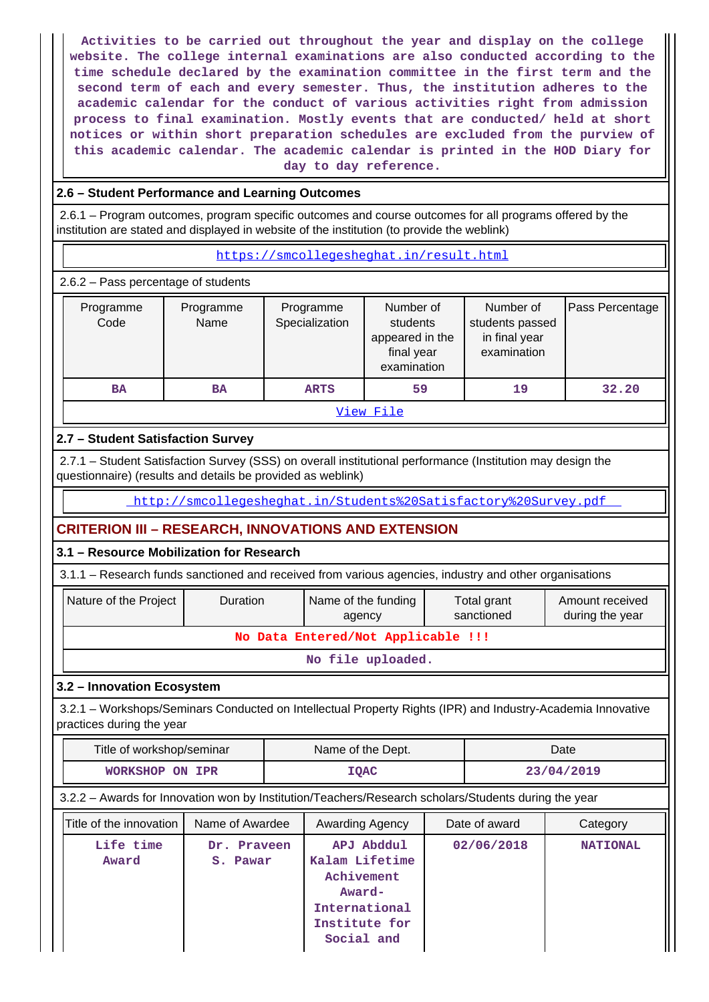**Activities to be carried out throughout the year and display on the college website. The college internal examinations are also conducted according to the time schedule declared by the examination committee in the first term and the second term of each and every semester. Thus, the institution adheres to the academic calendar for the conduct of various activities right from admission process to final examination. Mostly events that are conducted/ held at short notices or within short preparation schedules are excluded from the purview of this academic calendar. The academic calendar is printed in the HOD Diary for day to day reference.**

#### **2.6 – Student Performance and Learning Outcomes**

 2.6.1 – Program outcomes, program specific outcomes and course outcomes for all programs offered by the institution are stated and displayed in website of the institution (to provide the weblink)

<https://smcollegesheghat.in/result.html>

2.6.2 – Pass percentage of students

| Programme<br>Code | Programme<br>Name | Programme<br>Specialization | Number of<br>students<br>appeared in the<br>final year<br>examination | Number of<br>students passed<br>in final year<br>examination | Pass Percentage |
|-------------------|-------------------|-----------------------------|-----------------------------------------------------------------------|--------------------------------------------------------------|-----------------|
| <b>BA</b>         | BA                | <b>ARTS</b>                 | 59                                                                    | 19                                                           | 32.20           |
|                   |                   |                             | View File                                                             |                                                              |                 |

### **2.7 – Student Satisfaction Survey**

 2.7.1 – Student Satisfaction Survey (SSS) on overall institutional performance (Institution may design the questionnaire) (results and details be provided as weblink)

<http://smcollegesheghat.in/Students%20Satisfactory%20Survey.pdf>

## **CRITERION III – RESEARCH, INNOVATIONS AND EXTENSION**

#### **3.1 – Resource Mobilization for Research**

3.1.1 – Research funds sanctioned and received from various agencies, industry and other organisations

| Nature of the Project | <b>Duration</b>                    | Name of the funding<br>agency | Total grant<br>sanctioned | Amount received<br>during the year |  |  |  |  |  |  |
|-----------------------|------------------------------------|-------------------------------|---------------------------|------------------------------------|--|--|--|--|--|--|
|                       | No Data Entered/Not Applicable !!! |                               |                           |                                    |  |  |  |  |  |  |
| No file uploaded.     |                                    |                               |                           |                                    |  |  |  |  |  |  |

## **3.2 – Innovation Ecosystem**

 3.2.1 – Workshops/Seminars Conducted on Intellectual Property Rights (IPR) and Industry-Academia Innovative practices during the year

| Title of workshop/seminar | Name of the Dept. | Date       |
|---------------------------|-------------------|------------|
| WORKSHOP ON IPR           | <b>IQAC</b>       | 23/04/2019 |

#### 3.2.2 – Awards for Innovation won by Institution/Teachers/Research scholars/Students during the year

| Title of the innovation | Name of Awardee         | Awarding Agency                                                                                      | Date of award | Category        |
|-------------------------|-------------------------|------------------------------------------------------------------------------------------------------|---------------|-----------------|
| Life time<br>Award      | Dr. Praveen<br>S. Pawar | APJ Abddul<br>Kalam Lifetime<br>Achivement<br>Award-<br>International<br>Institute for<br>Social and | 02/06/2018    | <b>NATIONAL</b> |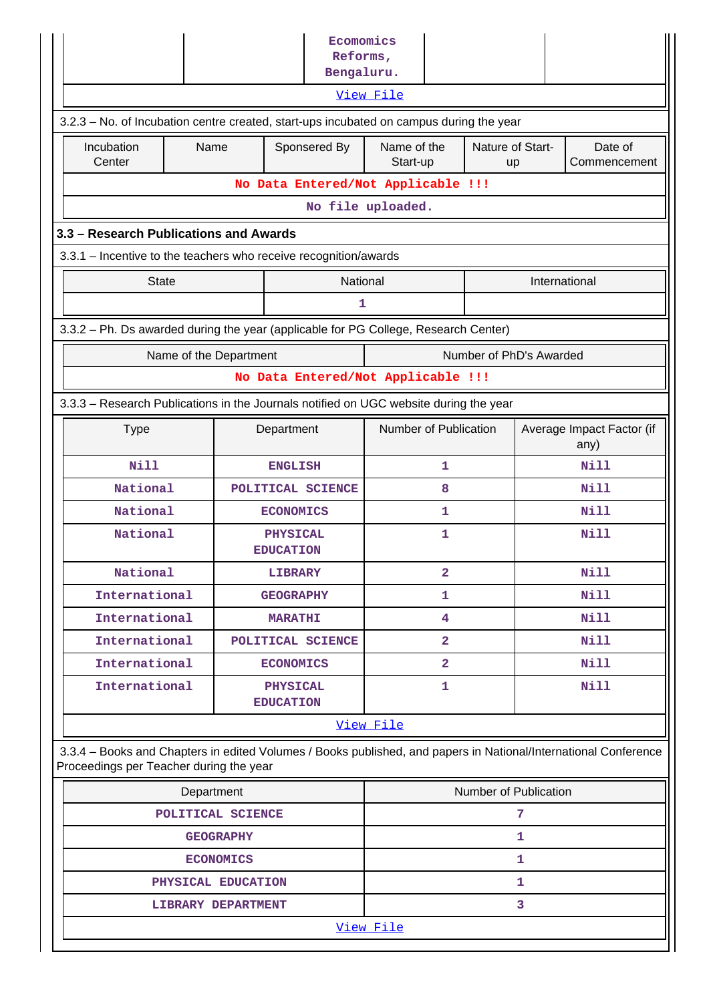|                                                                                         |                  |                    |                                     | Ecomomics<br>Reforms,<br>Bengaluru. |                                                   |                         |  |             |                                                                                                                 |  |
|-----------------------------------------------------------------------------------------|------------------|--------------------|-------------------------------------|-------------------------------------|---------------------------------------------------|-------------------------|--|-------------|-----------------------------------------------------------------------------------------------------------------|--|
|                                                                                         |                  |                    |                                     |                                     | View File                                         |                         |  |             |                                                                                                                 |  |
| 3.2.3 – No. of Incubation centre created, start-ups incubated on campus during the year |                  |                    |                                     |                                     |                                                   |                         |  |             |                                                                                                                 |  |
| Incubation<br>Center                                                                    | Name             |                    |                                     | Sponsered By                        | Name of the<br>Nature of Start-<br>Start-up<br>up |                         |  |             | Date of<br>Commencement                                                                                         |  |
|                                                                                         |                  |                    |                                     | No Data Entered/Not Applicable !!!  |                                                   |                         |  |             |                                                                                                                 |  |
| No file uploaded.                                                                       |                  |                    |                                     |                                     |                                                   |                         |  |             |                                                                                                                 |  |
| 3.3 - Research Publications and Awards                                                  |                  |                    |                                     |                                     |                                                   |                         |  |             |                                                                                                                 |  |
| 3.3.1 – Incentive to the teachers who receive recognition/awards                        |                  |                    |                                     |                                     |                                                   |                         |  |             |                                                                                                                 |  |
| <b>State</b>                                                                            |                  |                    |                                     | National                            |                                                   |                         |  |             | International                                                                                                   |  |
|                                                                                         |                  |                    |                                     | 1                                   |                                                   |                         |  |             |                                                                                                                 |  |
| 3.3.2 - Ph. Ds awarded during the year (applicable for PG College, Research Center)     |                  |                    |                                     |                                     |                                                   |                         |  |             |                                                                                                                 |  |
| Number of PhD's Awarded<br>Name of the Department                                       |                  |                    |                                     |                                     |                                                   |                         |  |             |                                                                                                                 |  |
| No Data Entered/Not Applicable !!!                                                      |                  |                    |                                     |                                     |                                                   |                         |  |             |                                                                                                                 |  |
| 3.3.3 – Research Publications in the Journals notified on UGC website during the year   |                  |                    |                                     |                                     |                                                   |                         |  |             |                                                                                                                 |  |
| <b>Type</b><br>Department                                                               |                  |                    |                                     |                                     | Number of Publication                             |                         |  |             | Average Impact Factor (if<br>any)                                                                               |  |
| <b>Nill</b>                                                                             |                  |                    | <b>ENGLISH</b>                      |                                     |                                                   | 1                       |  |             | Nill                                                                                                            |  |
| National                                                                                |                  |                    |                                     | POLITICAL SCIENCE                   |                                                   | 8                       |  |             | <b>Nill</b>                                                                                                     |  |
| National                                                                                |                  |                    | <b>ECONOMICS</b>                    |                                     |                                                   | 1                       |  |             | Nill                                                                                                            |  |
| National                                                                                |                  |                    | <b>PHYSICAL</b><br><b>EDUCATION</b> |                                     | 1                                                 |                         |  |             | <b>Nill</b>                                                                                                     |  |
| National                                                                                |                  |                    | <b>LIBRARY</b>                      |                                     |                                                   | $\overline{\mathbf{2}}$ |  | <b>Nill</b> |                                                                                                                 |  |
| International                                                                           |                  |                    | <b>GEOGRAPHY</b>                    |                                     | 1                                                 |                         |  |             | <b>Nill</b>                                                                                                     |  |
| International                                                                           |                  |                    | <b>MARATHI</b>                      |                                     | Nill<br>4                                         |                         |  |             |                                                                                                                 |  |
| International                                                                           |                  |                    |                                     | POLITICAL SCIENCE                   |                                                   | $\overline{\mathbf{2}}$ |  |             | Nill                                                                                                            |  |
| International                                                                           |                  |                    | <b>ECONOMICS</b>                    |                                     | $\overline{\mathbf{2}}$                           |                         |  |             | Nill                                                                                                            |  |
| International                                                                           |                  |                    | <b>PHYSICAL</b><br><b>EDUCATION</b> |                                     |                                                   | 1                       |  |             | <b>Nill</b>                                                                                                     |  |
|                                                                                         |                  |                    |                                     |                                     | View File                                         |                         |  |             |                                                                                                                 |  |
| Proceedings per Teacher during the year                                                 |                  |                    |                                     |                                     |                                                   |                         |  |             | 3.3.4 - Books and Chapters in edited Volumes / Books published, and papers in National/International Conference |  |
| Number of Publication<br>Department                                                     |                  |                    |                                     |                                     |                                                   |                         |  |             |                                                                                                                 |  |
| POLITICAL SCIENCE                                                                       |                  |                    |                                     |                                     |                                                   |                         |  | 7           |                                                                                                                 |  |
|                                                                                         |                  |                    |                                     |                                     |                                                   | $\mathbf{1}$            |  |             |                                                                                                                 |  |
|                                                                                         | <b>ECONOMICS</b> |                    |                                     | 1                                   |                                                   |                         |  |             |                                                                                                                 |  |
|                                                                                         |                  | PHYSICAL EDUCATION |                                     |                                     | 1                                                 |                         |  |             |                                                                                                                 |  |
| 3<br>LIBRARY DEPARTMENT                                                                 |                  |                    |                                     |                                     |                                                   |                         |  |             |                                                                                                                 |  |
|                                                                                         |                  |                    |                                     |                                     | View File                                         |                         |  |             |                                                                                                                 |  |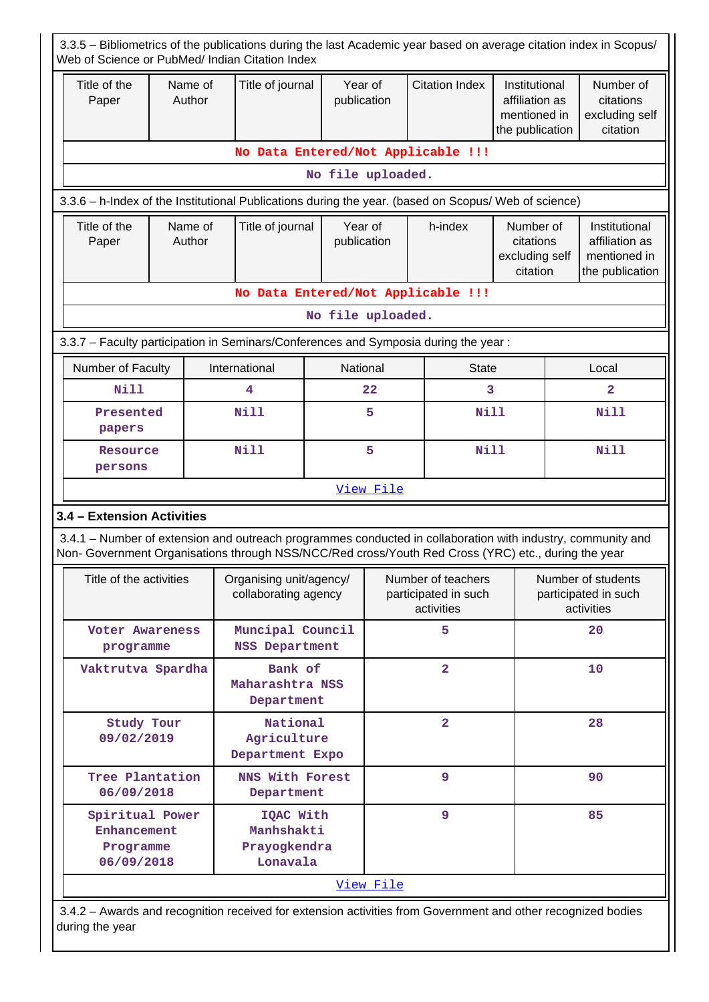| 3.3.5 – Bibliometrics of the publications during the last Academic year based on average citation index in Scopus/<br>Web of Science or PubMed/ Indian Citation Index                                              |                                                                                     |                                                     |                                                 |                                            |                        |                                                          |                                                                            |                                                      |               |                                                                    |  |  |
|--------------------------------------------------------------------------------------------------------------------------------------------------------------------------------------------------------------------|-------------------------------------------------------------------------------------|-----------------------------------------------------|-------------------------------------------------|--------------------------------------------|------------------------|----------------------------------------------------------|----------------------------------------------------------------------------|------------------------------------------------------|---------------|--------------------------------------------------------------------|--|--|
| Title of the<br>Paper                                                                                                                                                                                              |                                                                                     | Name of<br>Author                                   | Title of journal                                |                                            | Year of<br>publication |                                                          | <b>Citation Index</b><br>affiliation as<br>mentioned in<br>the publication |                                                      | Institutional | Number of<br>citations<br>excluding self<br>citation               |  |  |
|                                                                                                                                                                                                                    | No Data Entered/Not Applicable !!!                                                  |                                                     |                                                 |                                            |                        |                                                          |                                                                            |                                                      |               |                                                                    |  |  |
| No file uploaded.                                                                                                                                                                                                  |                                                                                     |                                                     |                                                 |                                            |                        |                                                          |                                                                            |                                                      |               |                                                                    |  |  |
| 3.3.6 - h-Index of the Institutional Publications during the year. (based on Scopus/ Web of science)                                                                                                               |                                                                                     |                                                     |                                                 |                                            |                        |                                                          |                                                                            |                                                      |               |                                                                    |  |  |
| Title of the<br>Paper                                                                                                                                                                                              | Name of<br>Author                                                                   |                                                     |                                                 | Title of journal<br>Year of<br>publication |                        |                                                          | h-index                                                                    | Number of<br>citations<br>excluding self<br>citation |               | Institutional<br>affiliation as<br>mentioned in<br>the publication |  |  |
| No Data Entered/Not Applicable !!!                                                                                                                                                                                 |                                                                                     |                                                     |                                                 |                                            |                        |                                                          |                                                                            |                                                      |               |                                                                    |  |  |
| No file uploaded.                                                                                                                                                                                                  |                                                                                     |                                                     |                                                 |                                            |                        |                                                          |                                                                            |                                                      |               |                                                                    |  |  |
|                                                                                                                                                                                                                    | 3.3.7 - Faculty participation in Seminars/Conferences and Symposia during the year: |                                                     |                                                 |                                            |                        |                                                          |                                                                            |                                                      |               |                                                                    |  |  |
| Number of Faculty<br>International<br>National<br><b>State</b><br>Local                                                                                                                                            |                                                                                     |                                                     |                                                 |                                            |                        |                                                          |                                                                            |                                                      |               |                                                                    |  |  |
| <b>Nill</b>                                                                                                                                                                                                        |                                                                                     |                                                     | 4                                               |                                            | 22                     |                                                          | 3                                                                          |                                                      |               | $\mathbf{2}$                                                       |  |  |
| papers                                                                                                                                                                                                             | Presented                                                                           |                                                     |                                                 | 5                                          |                        |                                                          | Nill                                                                       |                                                      | <b>Nill</b>   |                                                                    |  |  |
| Resource<br>persons                                                                                                                                                                                                |                                                                                     |                                                     | <b>Nill</b>                                     | 5                                          |                        |                                                          | <b>Nill</b>                                                                |                                                      |               | <b>Nill</b>                                                        |  |  |
|                                                                                                                                                                                                                    |                                                                                     |                                                     |                                                 |                                            | View File              |                                                          |                                                                            |                                                      |               |                                                                    |  |  |
| 3.4 - Extension Activities                                                                                                                                                                                         |                                                                                     |                                                     |                                                 |                                            |                        |                                                          |                                                                            |                                                      |               |                                                                    |  |  |
| 3.4.1 - Number of extension and outreach programmes conducted in collaboration with industry, community and<br>Non- Government Organisations through NSS/NCC/Red cross/Youth Red Cross (YRC) etc., during the year |                                                                                     |                                                     |                                                 |                                            |                        |                                                          |                                                                            |                                                      |               |                                                                    |  |  |
| Title of the activities                                                                                                                                                                                            |                                                                                     |                                                     | Organising unit/agency/<br>collaborating agency |                                            |                        | Number of teachers<br>participated in such<br>activities |                                                                            |                                                      |               | Number of students<br>participated in such<br>activities           |  |  |
| Voter Awareness<br>programme                                                                                                                                                                                       |                                                                                     |                                                     | Muncipal Council<br><b>NSS Department</b>       |                                            |                        |                                                          | 5                                                                          |                                                      |               | 20                                                                 |  |  |
| Vaktrutva Spardha                                                                                                                                                                                                  |                                                                                     |                                                     | Bank of<br>Maharashtra NSS<br>Department        |                                            |                        |                                                          | $\overline{2}$                                                             |                                                      |               | 10                                                                 |  |  |
| Study Tour<br>09/02/2019                                                                                                                                                                                           |                                                                                     | National<br>Agriculture<br>Department Expo          |                                                 |                                            |                        | $\overline{2}$                                           |                                                                            |                                                      | 28            |                                                                    |  |  |
| Tree Plantation<br>06/09/2018                                                                                                                                                                                      |                                                                                     |                                                     | NNS With Forest<br>Department                   |                                            |                        |                                                          | 9                                                                          |                                                      |               | 90                                                                 |  |  |
| Spiritual Power<br>Enhancement<br>Programme<br>06/09/2018                                                                                                                                                          |                                                                                     | IQAC With<br>Manhshakti<br>Prayogkendra<br>Lonavala |                                                 |                                            |                        | 9                                                        |                                                                            |                                                      | 85            |                                                                    |  |  |
|                                                                                                                                                                                                                    |                                                                                     |                                                     |                                                 |                                            | View File              |                                                          |                                                                            |                                                      |               |                                                                    |  |  |

 3.4.2 – Awards and recognition received for extension activities from Government and other recognized bodies during the year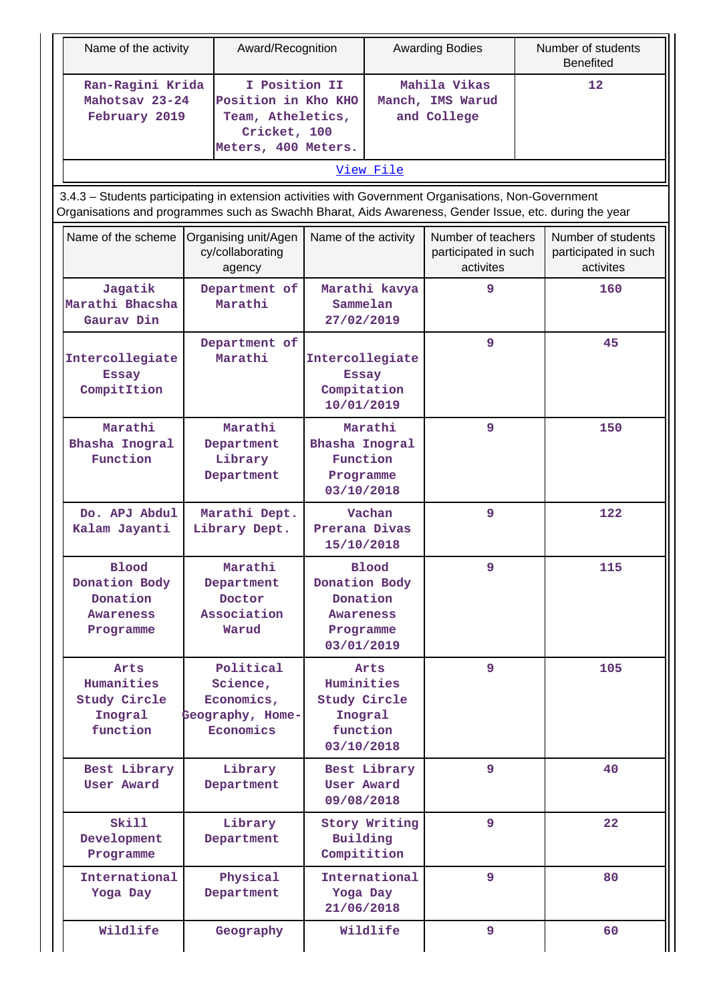| Name of the activity                                                                                                                                                                                           |                                                    | Award/Recognition                                                                                |                                                                                |                      | <b>Awarding Bodies</b>                                  | Number of students<br><b>Benefited</b> |                                                         |  |  |  |    |
|----------------------------------------------------------------------------------------------------------------------------------------------------------------------------------------------------------------|----------------------------------------------------|--------------------------------------------------------------------------------------------------|--------------------------------------------------------------------------------|----------------------|---------------------------------------------------------|----------------------------------------|---------------------------------------------------------|--|--|--|----|
| Ran-Ragini Krida<br>Mahotsav 23-24<br>February 2019                                                                                                                                                            |                                                    | I Position II<br>Position in Kho KHO<br>Team, Atheletics,<br>Cricket, 100<br>Meters, 400 Meters. | Mahila Vikas<br>Manch, IMS Warud<br>and College                                |                      |                                                         |                                        | 12                                                      |  |  |  |    |
|                                                                                                                                                                                                                |                                                    |                                                                                                  |                                                                                | View File            |                                                         |                                        |                                                         |  |  |  |    |
| 3.4.3 - Students participating in extension activities with Government Organisations, Non-Government<br>Organisations and programmes such as Swachh Bharat, Aids Awareness, Gender Issue, etc. during the year |                                                    |                                                                                                  |                                                                                |                      |                                                         |                                        |                                                         |  |  |  |    |
| Name of the scheme                                                                                                                                                                                             | Organising unit/Agen<br>cy/collaborating<br>agency |                                                                                                  |                                                                                | Name of the activity | Number of teachers<br>participated in such<br>activites |                                        | Number of students<br>participated in such<br>activites |  |  |  |    |
| Jagatik<br>Marathi Bhacsha<br>Gaurav Din                                                                                                                                                                       |                                                    | Department of<br>Marathi                                                                         | Sammelan<br>27/02/2019                                                         | Marathi kavya        | 9                                                       |                                        | 160                                                     |  |  |  |    |
| Intercollegiate<br><b>Essay</b><br>CompitItion                                                                                                                                                                 |                                                    | Department of<br>Marathi                                                                         | Intercollegiate<br><b>Essay</b><br>Compitation<br>10/01/2019                   |                      | 9                                                       |                                        | 45                                                      |  |  |  |    |
| Marathi<br>Bhasha Inogral<br>Function                                                                                                                                                                          |                                                    | Marathi<br>Department<br>Library<br>Department                                                   | Marathi<br>Bhasha Inogral<br>Function<br>Programme<br>03/10/2018               |                      | 9                                                       |                                        | 150                                                     |  |  |  |    |
| Do. APJ Abdul<br>Kalam Jayanti                                                                                                                                                                                 |                                                    | Marathi Dept.<br>Library Dept.                                                                   | Prerana Divas<br>15/10/2018                                                    | 9<br>Vachan          |                                                         |                                        | 122                                                     |  |  |  |    |
| <b>Blood</b><br>Donation Body<br>Donation<br>Awareness<br>Programme                                                                                                                                            |                                                    | Marathi<br>Department<br>Doctor<br>Association<br>Warud                                          | Donation Body<br>Donation<br>Awareness<br>Programme<br>03/01/2019              | <b>Blood</b>         | 9                                                       |                                        | 115                                                     |  |  |  |    |
| Arts<br>Humanities<br>Study Circle<br>Inogral<br>function                                                                                                                                                      |                                                    | Political<br>Science,<br>Economics,<br>Geography, Home-<br>Economics                             | Arts<br>Huminities<br><b>Study Circle</b><br>Inogral<br>function<br>03/10/2018 |                      | 9                                                       |                                        | 105                                                     |  |  |  |    |
| Best Library<br>User Award                                                                                                                                                                                     |                                                    | Library<br>Department                                                                            | Best Library<br><b>User Award</b><br>09/08/2018                                |                      | 9                                                       |                                        |                                                         |  |  |  | 40 |
| Skill<br>Development<br>Programme                                                                                                                                                                              |                                                    | Library<br>Department                                                                            | Story Writing<br>Building<br>Compitition                                       |                      | 9                                                       |                                        | 22                                                      |  |  |  |    |
| International<br>Yoga Day                                                                                                                                                                                      |                                                    | Physical<br>Department                                                                           | International<br>Yoga Day<br>21/06/2018                                        |                      | 9                                                       |                                        | 80                                                      |  |  |  |    |
| Wildlife                                                                                                                                                                                                       |                                                    | Geography                                                                                        |                                                                                | Wildlife             | 9                                                       |                                        | 60                                                      |  |  |  |    |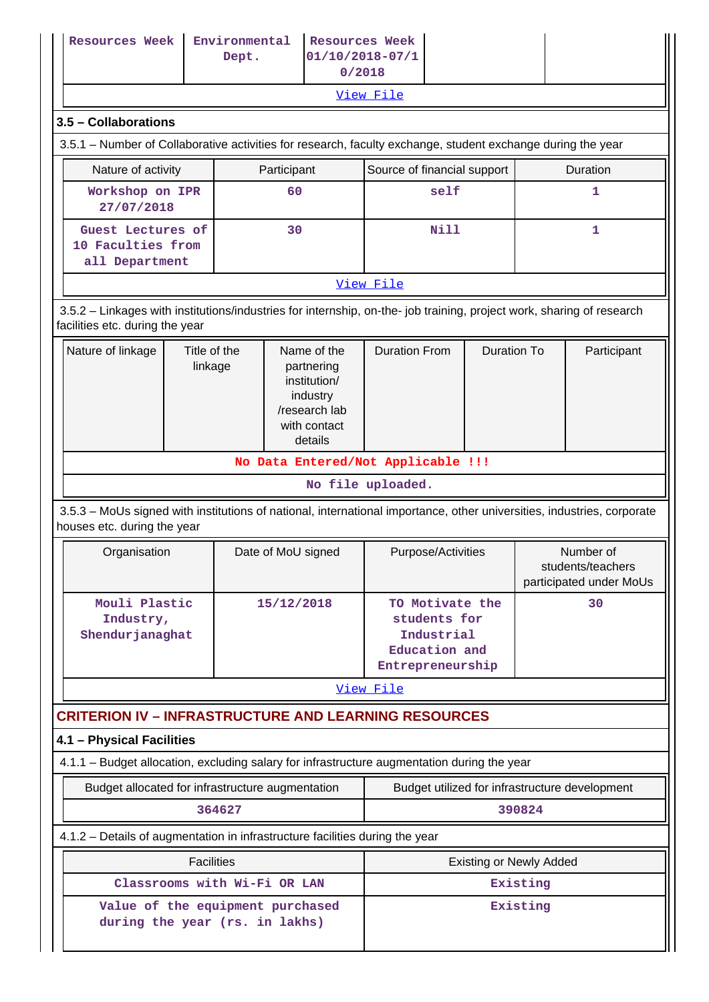| <b>Resources Week</b>                                                                                                                                    |                         | Environmental<br>Dept. | <b>Resources Week</b><br>0/2018                                                                   | $01/10/2018 - 07/1$                                                                |                    |                                                           |              |  |  |  |  |
|----------------------------------------------------------------------------------------------------------------------------------------------------------|-------------------------|------------------------|---------------------------------------------------------------------------------------------------|------------------------------------------------------------------------------------|--------------------|-----------------------------------------------------------|--------------|--|--|--|--|
|                                                                                                                                                          |                         |                        |                                                                                                   | View File                                                                          |                    |                                                           |              |  |  |  |  |
| 3.5 - Collaborations                                                                                                                                     |                         |                        |                                                                                                   |                                                                                    |                    |                                                           |              |  |  |  |  |
| 3.5.1 – Number of Collaborative activities for research, faculty exchange, student exchange during the year                                              |                         |                        |                                                                                                   |                                                                                    |                    |                                                           |              |  |  |  |  |
| Nature of activity                                                                                                                                       |                         |                        | Participant                                                                                       | Source of financial support                                                        |                    | Duration                                                  |              |  |  |  |  |
| Workshop on IPR<br>27/07/2018                                                                                                                            |                         |                        | 60                                                                                                | self                                                                               |                    |                                                           | 1            |  |  |  |  |
| Guest Lectures of<br>10 Faculties from<br>all Department                                                                                                 |                         |                        | 30                                                                                                | Nill                                                                               |                    |                                                           | $\mathbf{1}$ |  |  |  |  |
| View File                                                                                                                                                |                         |                        |                                                                                                   |                                                                                    |                    |                                                           |              |  |  |  |  |
| 3.5.2 - Linkages with institutions/industries for internship, on-the- job training, project work, sharing of research<br>facilities etc. during the year |                         |                        |                                                                                                   |                                                                                    |                    |                                                           |              |  |  |  |  |
| Nature of linkage                                                                                                                                        | Title of the<br>linkage |                        | Name of the<br>partnering<br>institution/<br>industry<br>/research lab<br>with contact<br>details | <b>Duration From</b>                                                               | <b>Duration To</b> |                                                           | Participant  |  |  |  |  |
|                                                                                                                                                          |                         |                        |                                                                                                   | No Data Entered/Not Applicable !!!                                                 |                    |                                                           |              |  |  |  |  |
|                                                                                                                                                          |                         |                        |                                                                                                   | No file uploaded.                                                                  |                    |                                                           |              |  |  |  |  |
| 3.5.3 - MoUs signed with institutions of national, international importance, other universities, industries, corporate<br>houses etc. during the year    |                         |                        |                                                                                                   |                                                                                    |                    |                                                           |              |  |  |  |  |
| Organisation                                                                                                                                             |                         |                        | Date of MoU signed                                                                                | Purpose/Activities                                                                 |                    | Number of<br>students/teachers<br>participated under MoUs |              |  |  |  |  |
| Mouli Plastic<br>Industry,<br><b>Shendurjanaghat</b>                                                                                                     |                         |                        | 15/12/2018                                                                                        | TO Motivate the<br>students for<br>Industrial<br>Education and<br>Entrepreneurship |                    |                                                           | 30           |  |  |  |  |
|                                                                                                                                                          |                         |                        |                                                                                                   | View File                                                                          |                    |                                                           |              |  |  |  |  |
| <b>CRITERION IV - INFRASTRUCTURE AND LEARNING RESOURCES</b>                                                                                              |                         |                        |                                                                                                   |                                                                                    |                    |                                                           |              |  |  |  |  |
| 4.1 - Physical Facilities                                                                                                                                |                         |                        |                                                                                                   |                                                                                    |                    |                                                           |              |  |  |  |  |
| 4.1.1 - Budget allocation, excluding salary for infrastructure augmentation during the year                                                              |                         |                        |                                                                                                   |                                                                                    |                    |                                                           |              |  |  |  |  |
| Budget allocated for infrastructure augmentation                                                                                                         |                         |                        |                                                                                                   | Budget utilized for infrastructure development                                     |                    |                                                           |              |  |  |  |  |
|                                                                                                                                                          |                         | 364627                 |                                                                                                   |                                                                                    |                    | 390824                                                    |              |  |  |  |  |
| 4.1.2 - Details of augmentation in infrastructure facilities during the year                                                                             |                         |                        |                                                                                                   |                                                                                    |                    |                                                           |              |  |  |  |  |
|                                                                                                                                                          | <b>Facilities</b>       |                        |                                                                                                   | <b>Existing or Newly Added</b>                                                     |                    |                                                           |              |  |  |  |  |
|                                                                                                                                                          |                         |                        | Classrooms with Wi-Fi OR LAN                                                                      | Existing                                                                           |                    |                                                           |              |  |  |  |  |
| during the year (rs. in lakhs)                                                                                                                           |                         |                        | Value of the equipment purchased                                                                  |                                                                                    |                    | Existing                                                  |              |  |  |  |  |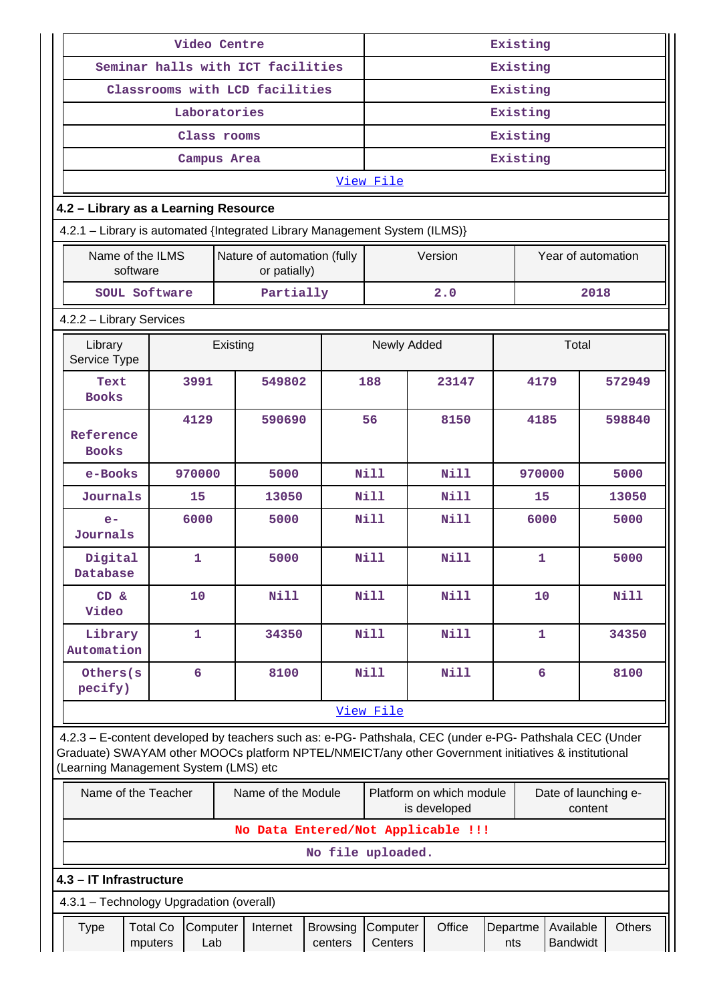|                                                                             |                            | Video Centre |                 |                                                                                                                                                                                                                |                            | Existing            |      |                                          |                 |              |                                 |      |               |
|-----------------------------------------------------------------------------|----------------------------|--------------|-----------------|----------------------------------------------------------------------------------------------------------------------------------------------------------------------------------------------------------------|----------------------------|---------------------|------|------------------------------------------|-----------------|--------------|---------------------------------|------|---------------|
|                                                                             |                            |              |                 | Seminar halls with ICT facilities                                                                                                                                                                              |                            | Existing            |      |                                          |                 |              |                                 |      |               |
|                                                                             |                            |              |                 | Classrooms with LCD facilities                                                                                                                                                                                 |                            | Existing            |      |                                          |                 |              |                                 |      |               |
|                                                                             |                            | Laboratories |                 |                                                                                                                                                                                                                |                            | Existing            |      |                                          |                 |              |                                 |      |               |
|                                                                             |                            | Class rooms  |                 |                                                                                                                                                                                                                |                            |                     |      |                                          | Existing        |              |                                 |      |               |
|                                                                             |                            | Campus Area  |                 |                                                                                                                                                                                                                |                            |                     |      |                                          | Existing        |              |                                 |      |               |
|                                                                             |                            |              |                 |                                                                                                                                                                                                                |                            | View File           |      |                                          |                 |              |                                 |      |               |
| 4.2 - Library as a Learning Resource                                        |                            |              |                 |                                                                                                                                                                                                                |                            |                     |      |                                          |                 |              |                                 |      |               |
|                                                                             |                            |              |                 | 4.2.1 - Library is automated {Integrated Library Management System (ILMS)}                                                                                                                                     |                            |                     |      |                                          |                 |              |                                 |      |               |
| Name of the ILMS<br>Nature of automation (fully<br>software<br>or patially) |                            |              |                 |                                                                                                                                                                                                                |                            |                     |      | Version                                  |                 |              | Year of automation              |      |               |
|                                                                             | SOUL Software              |              |                 | Partially                                                                                                                                                                                                      |                            |                     |      | 2.0                                      |                 |              |                                 | 2018 |               |
| 4.2.2 - Library Services                                                    |                            |              |                 |                                                                                                                                                                                                                |                            |                     |      |                                          |                 |              |                                 |      |               |
| Library<br>Service Type                                                     |                            |              | Existing        |                                                                                                                                                                                                                |                            | Newly Added         |      |                                          |                 |              | Total                           |      |               |
| Text<br><b>Books</b>                                                        |                            | 3991         | 549802<br>188   |                                                                                                                                                                                                                |                            |                     |      | 23147                                    |                 | 4179         |                                 |      | 572949        |
| Reference<br><b>Books</b>                                                   |                            | 4129         | 590690          |                                                                                                                                                                                                                |                            | 56                  | 8150 |                                          |                 | 4185         |                                 |      | 598840        |
| e-Books                                                                     |                            | 970000       |                 | 5000                                                                                                                                                                                                           |                            | <b>Nill</b>         |      | Nill                                     |                 | 970000       |                                 |      | 5000          |
| Journals                                                                    |                            | 15<br>13050  |                 |                                                                                                                                                                                                                |                            | Nill                |      | <b>Nill</b>                              |                 | 15           |                                 |      | 13050         |
| $e-$<br>Journals                                                            |                            | 6000         |                 | 5000                                                                                                                                                                                                           |                            | Nill                |      | Nill                                     |                 | 6000         |                                 |      | 5000          |
| Digital<br>Database                                                         |                            | $\mathbf{1}$ |                 | 5000                                                                                                                                                                                                           |                            | <b>Nill</b><br>Nill |      |                                          |                 | $\mathbf{1}$ |                                 |      | 5000          |
| $CD \&$<br>Video                                                            |                            | 10           |                 | Nill                                                                                                                                                                                                           |                            | Nill<br><b>Nill</b> |      |                                          |                 | 10           |                                 |      | <b>Nill</b>   |
| Library<br>Automation                                                       |                            | $\mathbf{1}$ |                 | 34350                                                                                                                                                                                                          |                            | Nill                |      | Nill                                     |                 | $\mathbf{1}$ |                                 |      | 34350         |
| Others(s<br>pecify)                                                         |                            | 6            |                 | 8100                                                                                                                                                                                                           |                            | Nill                |      | <b>Nill</b>                              |                 | 6            |                                 |      | 8100          |
|                                                                             |                            |              |                 |                                                                                                                                                                                                                |                            | View File           |      |                                          |                 |              |                                 |      |               |
| (Learning Management System (LMS) etc                                       |                            |              |                 | 4.2.3 - E-content developed by teachers such as: e-PG- Pathshala, CEC (under e-PG- Pathshala CEC (Under<br>Graduate) SWAYAM other MOOCs platform NPTEL/NMEICT/any other Government initiatives & institutional |                            |                     |      |                                          |                 |              |                                 |      |               |
|                                                                             | Name of the Teacher        |              |                 | Name of the Module                                                                                                                                                                                             |                            |                     |      | Platform on which module<br>is developed |                 |              | Date of launching e-<br>content |      |               |
|                                                                             |                            |              |                 | No Data Entered/Not Applicable !!!                                                                                                                                                                             |                            |                     |      |                                          |                 |              |                                 |      |               |
|                                                                             |                            |              |                 |                                                                                                                                                                                                                | No file uploaded.          |                     |      |                                          |                 |              |                                 |      |               |
| 4.3 - IT Infrastructure                                                     |                            |              |                 |                                                                                                                                                                                                                |                            |                     |      |                                          |                 |              |                                 |      |               |
| 4.3.1 - Technology Upgradation (overall)                                    |                            |              |                 |                                                                                                                                                                                                                |                            |                     |      |                                          |                 |              |                                 |      |               |
| <b>Type</b>                                                                 | <b>Total Co</b><br>mputers |              | Computer<br>Lab | Internet                                                                                                                                                                                                       | <b>Browsing</b><br>centers | Computer<br>Centers |      | Office                                   | Departme<br>nts |              | Available<br>Bandwidt           |      | <b>Others</b> |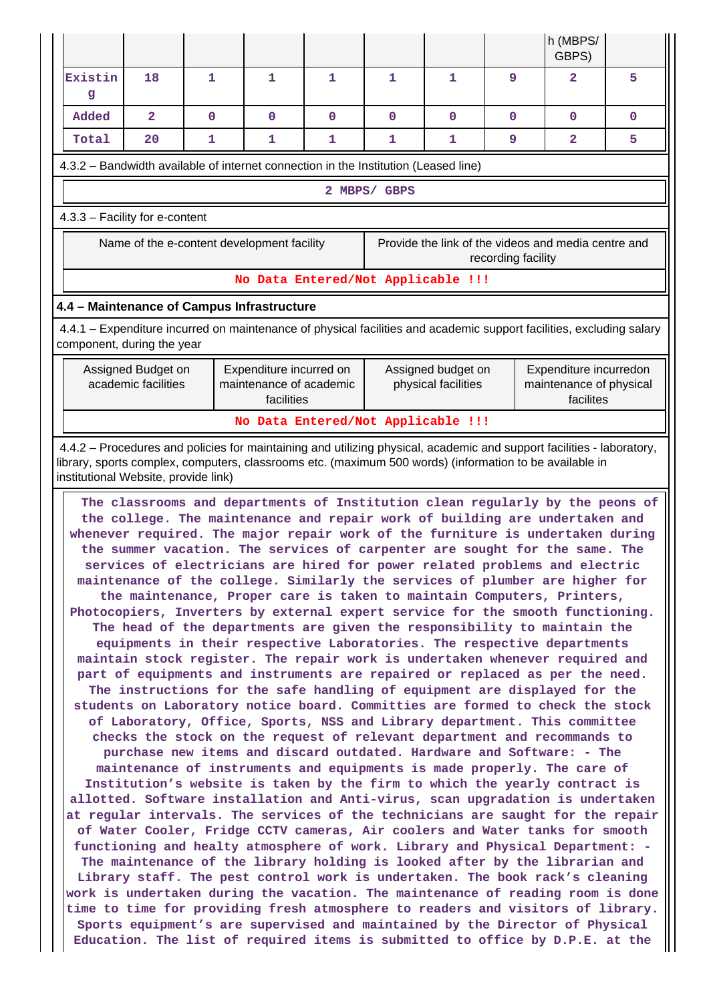|                                                                                                                                                                                                                                                                          |                                |              |              |             |   |              |   | h (MBPS/<br>GBPS)                                                                                                                                                                                                                                                                                                                                                                                                                                                                                                                                                                                                                                                                                                                                                                                                                                                                                                                                                                                                                                                                                                                                                                                                                                                                                                                                                                                                                                                                                                                                                                                                                                                                                                                                                                                                                                                                                                                                                                                                                                                                                                                                                                                                                                                                                                                                                                   |              |  |  |  |
|--------------------------------------------------------------------------------------------------------------------------------------------------------------------------------------------------------------------------------------------------------------------------|--------------------------------|--------------|--------------|-------------|---|--------------|---|-------------------------------------------------------------------------------------------------------------------------------------------------------------------------------------------------------------------------------------------------------------------------------------------------------------------------------------------------------------------------------------------------------------------------------------------------------------------------------------------------------------------------------------------------------------------------------------------------------------------------------------------------------------------------------------------------------------------------------------------------------------------------------------------------------------------------------------------------------------------------------------------------------------------------------------------------------------------------------------------------------------------------------------------------------------------------------------------------------------------------------------------------------------------------------------------------------------------------------------------------------------------------------------------------------------------------------------------------------------------------------------------------------------------------------------------------------------------------------------------------------------------------------------------------------------------------------------------------------------------------------------------------------------------------------------------------------------------------------------------------------------------------------------------------------------------------------------------------------------------------------------------------------------------------------------------------------------------------------------------------------------------------------------------------------------------------------------------------------------------------------------------------------------------------------------------------------------------------------------------------------------------------------------------------------------------------------------------------------------------------------------|--------------|--|--|--|
| Existin<br>g                                                                                                                                                                                                                                                             | 18                             | 1            | 1            | 1           | 1 | 1            | 9 | $\mathbf{z}$<br>5                                                                                                                                                                                                                                                                                                                                                                                                                                                                                                                                                                                                                                                                                                                                                                                                                                                                                                                                                                                                                                                                                                                                                                                                                                                                                                                                                                                                                                                                                                                                                                                                                                                                                                                                                                                                                                                                                                                                                                                                                                                                                                                                                                                                                                                                                                                                                                   |              |  |  |  |
| Added                                                                                                                                                                                                                                                                    | $\mathbf{2}$                   | $\mathbf{O}$ | $\mathbf{O}$ | $\mathbf 0$ | 0 | $\mathbf{O}$ | 0 | 0                                                                                                                                                                                                                                                                                                                                                                                                                                                                                                                                                                                                                                                                                                                                                                                                                                                                                                                                                                                                                                                                                                                                                                                                                                                                                                                                                                                                                                                                                                                                                                                                                                                                                                                                                                                                                                                                                                                                                                                                                                                                                                                                                                                                                                                                                                                                                                                   | $\mathbf{0}$ |  |  |  |
| Total                                                                                                                                                                                                                                                                    | 20                             | 1            | 1            | 1           | 1 | 1            | 9 | 2                                                                                                                                                                                                                                                                                                                                                                                                                                                                                                                                                                                                                                                                                                                                                                                                                                                                                                                                                                                                                                                                                                                                                                                                                                                                                                                                                                                                                                                                                                                                                                                                                                                                                                                                                                                                                                                                                                                                                                                                                                                                                                                                                                                                                                                                                                                                                                                   | 5            |  |  |  |
| 4.3.2 - Bandwidth available of internet connection in the Institution (Leased line)                                                                                                                                                                                      |                                |              |              |             |   |              |   |                                                                                                                                                                                                                                                                                                                                                                                                                                                                                                                                                                                                                                                                                                                                                                                                                                                                                                                                                                                                                                                                                                                                                                                                                                                                                                                                                                                                                                                                                                                                                                                                                                                                                                                                                                                                                                                                                                                                                                                                                                                                                                                                                                                                                                                                                                                                                                                     |              |  |  |  |
|                                                                                                                                                                                                                                                                          | 2 MBPS/ GBPS                   |              |              |             |   |              |   |                                                                                                                                                                                                                                                                                                                                                                                                                                                                                                                                                                                                                                                                                                                                                                                                                                                                                                                                                                                                                                                                                                                                                                                                                                                                                                                                                                                                                                                                                                                                                                                                                                                                                                                                                                                                                                                                                                                                                                                                                                                                                                                                                                                                                                                                                                                                                                                     |              |  |  |  |
|                                                                                                                                                                                                                                                                          | 4.3.3 - Facility for e-content |              |              |             |   |              |   |                                                                                                                                                                                                                                                                                                                                                                                                                                                                                                                                                                                                                                                                                                                                                                                                                                                                                                                                                                                                                                                                                                                                                                                                                                                                                                                                                                                                                                                                                                                                                                                                                                                                                                                                                                                                                                                                                                                                                                                                                                                                                                                                                                                                                                                                                                                                                                                     |              |  |  |  |
| Name of the e-content development facility<br>Provide the link of the videos and media centre and<br>recording facility                                                                                                                                                  |                                |              |              |             |   |              |   |                                                                                                                                                                                                                                                                                                                                                                                                                                                                                                                                                                                                                                                                                                                                                                                                                                                                                                                                                                                                                                                                                                                                                                                                                                                                                                                                                                                                                                                                                                                                                                                                                                                                                                                                                                                                                                                                                                                                                                                                                                                                                                                                                                                                                                                                                                                                                                                     |              |  |  |  |
| No Data Entered/Not Applicable !!!                                                                                                                                                                                                                                       |                                |              |              |             |   |              |   |                                                                                                                                                                                                                                                                                                                                                                                                                                                                                                                                                                                                                                                                                                                                                                                                                                                                                                                                                                                                                                                                                                                                                                                                                                                                                                                                                                                                                                                                                                                                                                                                                                                                                                                                                                                                                                                                                                                                                                                                                                                                                                                                                                                                                                                                                                                                                                                     |              |  |  |  |
| 4.4 - Maintenance of Campus Infrastructure                                                                                                                                                                                                                               |                                |              |              |             |   |              |   |                                                                                                                                                                                                                                                                                                                                                                                                                                                                                                                                                                                                                                                                                                                                                                                                                                                                                                                                                                                                                                                                                                                                                                                                                                                                                                                                                                                                                                                                                                                                                                                                                                                                                                                                                                                                                                                                                                                                                                                                                                                                                                                                                                                                                                                                                                                                                                                     |              |  |  |  |
| 4.4.1 – Expenditure incurred on maintenance of physical facilities and academic support facilities, excluding salary<br>component, during the year                                                                                                                       |                                |              |              |             |   |              |   |                                                                                                                                                                                                                                                                                                                                                                                                                                                                                                                                                                                                                                                                                                                                                                                                                                                                                                                                                                                                                                                                                                                                                                                                                                                                                                                                                                                                                                                                                                                                                                                                                                                                                                                                                                                                                                                                                                                                                                                                                                                                                                                                                                                                                                                                                                                                                                                     |              |  |  |  |
| Assigned Budget on<br>Expenditure incurred on<br>Assigned budget on<br>Expenditure incurredon<br>academic facilities<br>maintenance of academic<br>physical facilities<br>maintenance of physical<br>facilities<br>facilites                                             |                                |              |              |             |   |              |   |                                                                                                                                                                                                                                                                                                                                                                                                                                                                                                                                                                                                                                                                                                                                                                                                                                                                                                                                                                                                                                                                                                                                                                                                                                                                                                                                                                                                                                                                                                                                                                                                                                                                                                                                                                                                                                                                                                                                                                                                                                                                                                                                                                                                                                                                                                                                                                                     |              |  |  |  |
| No Data Entered/Not Applicable !!!                                                                                                                                                                                                                                       |                                |              |              |             |   |              |   |                                                                                                                                                                                                                                                                                                                                                                                                                                                                                                                                                                                                                                                                                                                                                                                                                                                                                                                                                                                                                                                                                                                                                                                                                                                                                                                                                                                                                                                                                                                                                                                                                                                                                                                                                                                                                                                                                                                                                                                                                                                                                                                                                                                                                                                                                                                                                                                     |              |  |  |  |
| 4.4.2 – Procedures and policies for maintaining and utilizing physical, academic and support facilities - laboratory,<br>library, sports complex, computers, classrooms etc. (maximum 500 words) (information to be available in<br>institutional Website, provide link) |                                |              |              |             |   |              |   |                                                                                                                                                                                                                                                                                                                                                                                                                                                                                                                                                                                                                                                                                                                                                                                                                                                                                                                                                                                                                                                                                                                                                                                                                                                                                                                                                                                                                                                                                                                                                                                                                                                                                                                                                                                                                                                                                                                                                                                                                                                                                                                                                                                                                                                                                                                                                                                     |              |  |  |  |
|                                                                                                                                                                                                                                                                          |                                |              |              |             |   |              |   | The classrooms and departments of Institution clean regularly by the peons of<br>the college. The maintenance and repair work of building are undertaken and<br>whenever required. The major repair work of the furniture is undertaken during<br>the summer vacation. The services of carpenter are sought for the same. The<br>services of electricians are hired for power related problems and electric<br>maintenance of the college. Similarly the services of plumber are higher for<br>the maintenance, Proper care is taken to maintain Computers, Printers,<br>Photocopiers, Inverters by external expert service for the smooth functioning.<br>The head of the departments are given the responsibility to maintain the<br>equipments in their respective Laboratories. The respective departments<br>maintain stock register. The repair work is undertaken whenever required and<br>part of equipments and instruments are repaired or replaced as per the need.<br>The instructions for the safe handling of equipment are displayed for the<br>students on Laboratory notice board. Committies are formed to check the stock<br>of Laboratory, Office, Sports, NSS and Library department. This committee<br>checks the stock on the request of relevant department and recommands to<br>purchase new items and discard outdated. Hardware and Software: - The<br>maintenance of instruments and equipments is made properly. The care of<br>Institution's website is taken by the firm to which the yearly contract is<br>allotted. Software installation and Anti-virus, scan upgradation is undertaken<br>at regular intervals. The services of the technicians are saught for the repair<br>of Water Cooler, Fridge CCTV cameras, Air coolers and Water tanks for smooth<br>functioning and healty atmosphere of work. Library and Physical Department: -<br>The maintenance of the library holding is looked after by the librarian and<br>Library staff. The pest control work is undertaken. The book rack's cleaning<br>work is undertaken during the vacation. The maintenance of reading room is done<br>time to time for providing fresh atmosphere to readers and visitors of library.<br>Sports equipment's are supervised and maintained by the Director of Physical<br>Education. The list of required items is submitted to office by D.P.E. at the |              |  |  |  |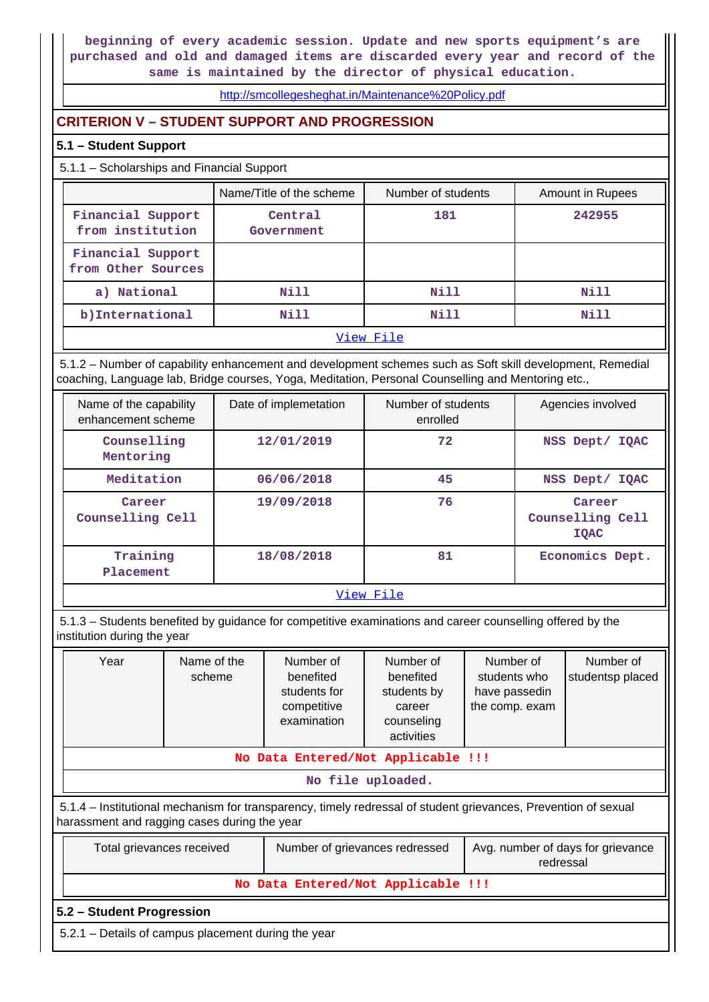**beginning of every academic session. Update and new sports equipment's are purchased and old and damaged items are discarded every year and record of the same is maintained by the director of physical education.**

<http://smcollegesheghat.in/Maintenance%20Policy.pdf>

## **CRITERION V – STUDENT SUPPORT AND PROGRESSION**

## **5.1 – Student Support**

5.1.1 – Scholarships and Financial Support

|                                         | Name/Title of the scheme | Number of students | Amount in Rupees |  |  |  |
|-----------------------------------------|--------------------------|--------------------|------------------|--|--|--|
| Financial Support<br>from institution   | Central<br>Government    | 181                | 242955           |  |  |  |
| Financial Support<br>from Other Sources |                          |                    |                  |  |  |  |
| a) National                             | Nill                     | Nill               | Nill             |  |  |  |
| b) International<br>Nill                |                          | Nill               | Nill             |  |  |  |
| View File                               |                          |                    |                  |  |  |  |

 5.1.2 – Number of capability enhancement and development schemes such as Soft skill development, Remedial coaching, Language lab, Bridge courses, Yoga, Meditation, Personal Counselling and Mentoring etc.,

| Name of the capability<br>enhancement scheme | Date of implemetation | Number of students<br>enrolled | Agencies involved                         |  |  |  |  |
|----------------------------------------------|-----------------------|--------------------------------|-------------------------------------------|--|--|--|--|
| Counselling<br>Mentoring                     | 12/01/2019            | 72                             | NSS Dept/<br><b>IOAC</b>                  |  |  |  |  |
| Meditation                                   | 06/06/2018            | 45                             | NSS Dept/ IQAC                            |  |  |  |  |
| Career<br>Counselling Cell                   | 19/09/2018            | 76                             | Career<br>Counselling Cell<br><b>IOAC</b> |  |  |  |  |
| Training<br>Placement                        | 18/08/2018            | 81                             | Economics Dept.                           |  |  |  |  |
| -- -<br>_ . -                                |                       |                                |                                           |  |  |  |  |

[View File](https://assessmentonline.naac.gov.in/public/Postacc/Development_Schemes/17418_Development_Schemes_1640761312.xls)

 5.1.3 – Students benefited by guidance for competitive examinations and career counselling offered by the institution during the year

| Year                                                                                                                                                           | Name of the<br>scheme | Number of<br>benefited<br>students for<br>competitive<br>examination | Number of<br>benefited<br>students by<br>career<br>counseling<br>activities | Number of<br>students who<br>have passedin<br>the comp. exam | Number of<br>studentsp placed |  |  |
|----------------------------------------------------------------------------------------------------------------------------------------------------------------|-----------------------|----------------------------------------------------------------------|-----------------------------------------------------------------------------|--------------------------------------------------------------|-------------------------------|--|--|
| No Data Entered/Not Applicable !!!                                                                                                                             |                       |                                                                      |                                                                             |                                                              |                               |  |  |
| No file uploaded.                                                                                                                                              |                       |                                                                      |                                                                             |                                                              |                               |  |  |
| 5.1.4 – Institutional mechanism for transparency, timely redressal of student grievances, Prevention of sexual<br>harassment and ragging cases during the year |                       |                                                                      |                                                                             |                                                              |                               |  |  |
| Avg. number of days for grievance<br>Number of grievances redressed<br>Total grievances received<br>redressal                                                  |                       |                                                                      |                                                                             |                                                              |                               |  |  |
| No Data Entered/Not Applicable !!!                                                                                                                             |                       |                                                                      |                                                                             |                                                              |                               |  |  |
| 5.2 – Student Progression                                                                                                                                      |                       |                                                                      |                                                                             |                                                              |                               |  |  |
| 5.2.1 – Details of campus placement during the year                                                                                                            |                       |                                                                      |                                                                             |                                                              |                               |  |  |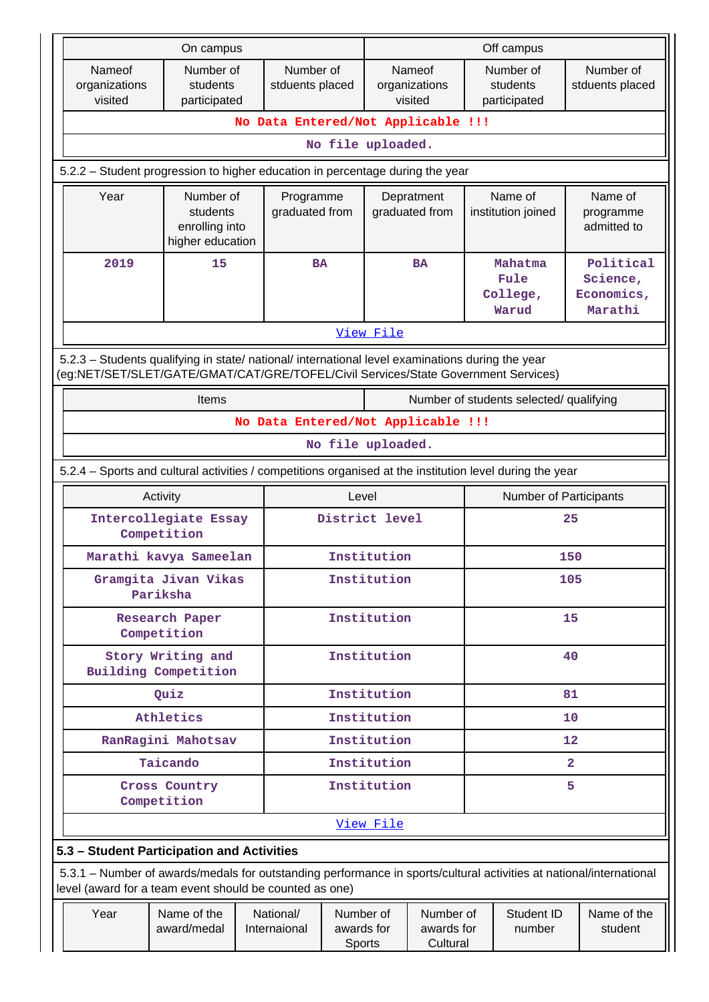|                                                                                                                                                                                        | On campus                                                   |  |                                                                    |                                   | Off campus        |                                                             |                                      |                                         |                                     |  |
|----------------------------------------------------------------------------------------------------------------------------------------------------------------------------------------|-------------------------------------------------------------|--|--------------------------------------------------------------------|-----------------------------------|-------------------|-------------------------------------------------------------|--------------------------------------|-----------------------------------------|-------------------------------------|--|
| Nameof<br>organizations<br>visited                                                                                                                                                     | Number of<br>students<br>participated                       |  | Number of<br>Nameof<br>stduents placed<br>organizations<br>visited |                                   |                   |                                                             |                                      | Number of<br>students<br>participated   | Number of<br>stduents placed        |  |
|                                                                                                                                                                                        |                                                             |  |                                                                    |                                   |                   | No Data Entered/Not Applicable !!!                          |                                      |                                         |                                     |  |
|                                                                                                                                                                                        |                                                             |  |                                                                    |                                   | No file uploaded. |                                                             |                                      |                                         |                                     |  |
| 5.2.2 - Student progression to higher education in percentage during the year                                                                                                          |                                                             |  |                                                                    |                                   |                   |                                                             |                                      |                                         |                                     |  |
| Year                                                                                                                                                                                   | Number of<br>students<br>enrolling into<br>higher education |  | Programme<br>graduated from                                        |                                   |                   | Depratment<br>graduated from                                |                                      | Name of<br>institution joined           | Name of<br>programme<br>admitted to |  |
| 2019                                                                                                                                                                                   | 15                                                          |  | <b>BA</b><br><b>BA</b>                                             |                                   |                   |                                                             | Mahatma<br>Fule<br>College,<br>Warud | Science,<br>Economics,<br>Marathi       | Political                           |  |
|                                                                                                                                                                                        |                                                             |  |                                                                    |                                   | View File         |                                                             |                                      |                                         |                                     |  |
| 5.2.3 - Students qualifying in state/ national/ international level examinations during the year<br>(eg:NET/SET/SLET/GATE/GMAT/CAT/GRE/TOFEL/Civil Services/State Government Services) |                                                             |  |                                                                    |                                   |                   |                                                             |                                      |                                         |                                     |  |
|                                                                                                                                                                                        | <b>Items</b>                                                |  |                                                                    |                                   |                   |                                                             |                                      | Number of students selected/ qualifying |                                     |  |
|                                                                                                                                                                                        |                                                             |  |                                                                    |                                   |                   | No Data Entered/Not Applicable !!!                          |                                      |                                         |                                     |  |
|                                                                                                                                                                                        |                                                             |  |                                                                    |                                   | No file uploaded. |                                                             |                                      |                                         |                                     |  |
| 5.2.4 – Sports and cultural activities / competitions organised at the institution level during the year                                                                               |                                                             |  |                                                                    |                                   |                   |                                                             |                                      |                                         |                                     |  |
|                                                                                                                                                                                        | Activity                                                    |  |                                                                    | Level                             |                   |                                                             |                                      | Number of Participants                  |                                     |  |
|                                                                                                                                                                                        | Intercollegiate Essay<br>Competition                        |  |                                                                    |                                   | District level    |                                                             |                                      |                                         | 25                                  |  |
|                                                                                                                                                                                        | Marathi kavya Sameelan                                      |  |                                                                    |                                   | Institution       |                                                             |                                      |                                         | 150                                 |  |
|                                                                                                                                                                                        | Gramgita Jivan Vikas<br>Pariksha                            |  |                                                                    |                                   |                   | Institution<br>105                                          |                                      |                                         |                                     |  |
|                                                                                                                                                                                        | <b>Research Paper</b><br>Competition                        |  |                                                                    |                                   |                   | Institution<br>15                                           |                                      |                                         |                                     |  |
|                                                                                                                                                                                        | Story Writing and<br>Building Competition                   |  |                                                                    |                                   | Institution       |                                                             |                                      |                                         | 40                                  |  |
|                                                                                                                                                                                        | Quiz                                                        |  |                                                                    |                                   | Institution       | 81                                                          |                                      |                                         |                                     |  |
|                                                                                                                                                                                        | Athletics                                                   |  |                                                                    |                                   |                   | Institution<br>10                                           |                                      |                                         |                                     |  |
|                                                                                                                                                                                        | RanRagini Mahotsav                                          |  |                                                                    |                                   | Institution       |                                                             |                                      |                                         | 12                                  |  |
|                                                                                                                                                                                        | Taicando                                                    |  |                                                                    |                                   | Institution       |                                                             |                                      |                                         | $\overline{2}$                      |  |
|                                                                                                                                                                                        | Cross Country<br>Competition                                |  |                                                                    |                                   | Institution       |                                                             |                                      |                                         | 5                                   |  |
|                                                                                                                                                                                        |                                                             |  |                                                                    |                                   | View File         |                                                             |                                      |                                         |                                     |  |
| 5.3 - Student Participation and Activities                                                                                                                                             |                                                             |  |                                                                    |                                   |                   |                                                             |                                      |                                         |                                     |  |
| 5.3.1 - Number of awards/medals for outstanding performance in sports/cultural activities at national/international<br>level (award for a team event should be counted as one)         |                                                             |  |                                                                    |                                   |                   |                                                             |                                      |                                         |                                     |  |
| Year                                                                                                                                                                                   | Name of the<br>award/medal                                  |  | National/<br>Internaional                                          | Number of<br>awards for<br>Sports |                   | Student ID<br>Number of<br>awards for<br>number<br>Cultural |                                      |                                         | Name of the<br>student              |  |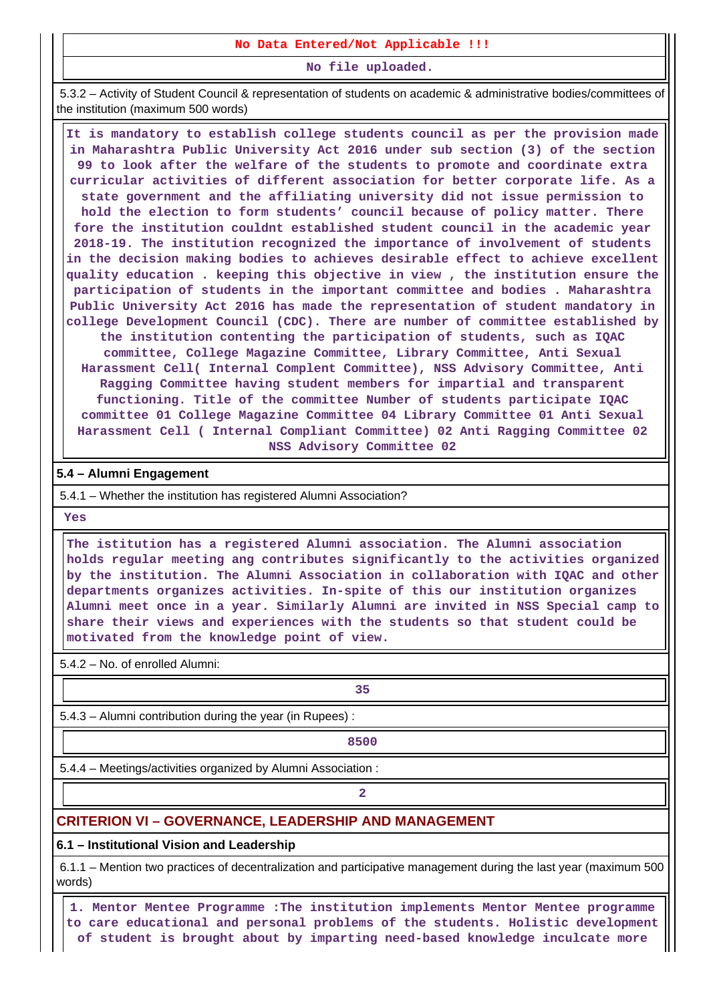**No Data Entered/Not Applicable !!!**

**No file uploaded.**

 5.3.2 – Activity of Student Council & representation of students on academic & administrative bodies/committees of the institution (maximum 500 words)

 **It is mandatory to establish college students council as per the provision made in Maharashtra Public University Act 2016 under sub section (3) of the section 99 to look after the welfare of the students to promote and coordinate extra curricular activities of different association for better corporate life. As a state government and the affiliating university did not issue permission to hold the election to form students' council because of policy matter. There fore the institution couldnt established student council in the academic year 2018-19. The institution recognized the importance of involvement of students in the decision making bodies to achieves desirable effect to achieve excellent quality education . keeping this objective in view , the institution ensure the participation of students in the important committee and bodies . Maharashtra Public University Act 2016 has made the representation of student mandatory in college Development Council (CDC). There are number of committee established by the institution contenting the participation of students, such as IQAC committee, College Magazine Committee, Library Committee, Anti Sexual Harassment Cell( Internal Complent Committee), NSS Advisory Committee, Anti Ragging Committee having student members for impartial and transparent functioning. Title of the committee Number of students participate IQAC committee 01 College Magazine Committee 04 Library Committee 01 Anti Sexual Harassment Cell ( Internal Compliant Committee) 02 Anti Ragging Committee 02 NSS Advisory Committee 02**

#### **5.4 – Alumni Engagement**

5.4.1 – Whether the institution has registered Alumni Association?

 **Yes**

 **The istitution has a registered Alumni association. The Alumni association holds regular meeting ang contributes significantly to the activities organized by the institution. The Alumni Association in collaboration with IQAC and other departments organizes activities. In-spite of this our institution organizes Alumni meet once in a year. Similarly Alumni are invited in NSS Special camp to share their views and experiences with the students so that student could be motivated from the knowledge point of view.**

5.4.2 – No. of enrolled Alumni:

**1 35** 

5.4.3 – Alumni contribution during the year (in Rupees) :

**8500** 

5.4.4 – Meetings/activities organized by Alumni Association :

**2**

#### **CRITERION VI – GOVERNANCE, LEADERSHIP AND MANAGEMENT**

#### **6.1 – Institutional Vision and Leadership**

 6.1.1 – Mention two practices of decentralization and participative management during the last year (maximum 500 words)

 **1. Mentor Mentee Programme :The institution implements Mentor Mentee programme to care educational and personal problems of the students. Holistic development of student is brought about by imparting need-based knowledge inculcate more**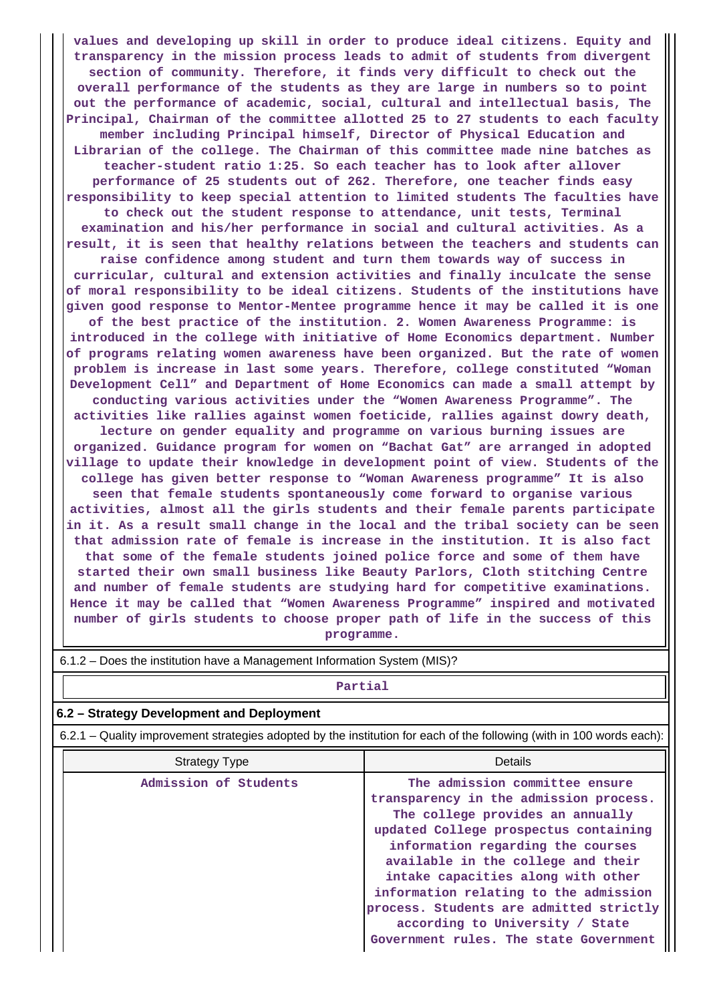**values and developing up skill in order to produce ideal citizens. Equity and transparency in the mission process leads to admit of students from divergent section of community. Therefore, it finds very difficult to check out the overall performance of the students as they are large in numbers so to point out the performance of academic, social, cultural and intellectual basis, The Principal, Chairman of the committee allotted 25 to 27 students to each faculty member including Principal himself, Director of Physical Education and Librarian of the college. The Chairman of this committee made nine batches as teacher-student ratio 1:25. So each teacher has to look after allover performance of 25 students out of 262. Therefore, one teacher finds easy responsibility to keep special attention to limited students The faculties have to check out the student response to attendance, unit tests, Terminal examination and his/her performance in social and cultural activities. As a result, it is seen that healthy relations between the teachers and students can raise confidence among student and turn them towards way of success in curricular, cultural and extension activities and finally inculcate the sense of moral responsibility to be ideal citizens. Students of the institutions have given good response to Mentor-Mentee programme hence it may be called it is one of the best practice of the institution. 2. Women Awareness Programme: is introduced in the college with initiative of Home Economics department. Number of programs relating women awareness have been organized. But the rate of women problem is increase in last some years. Therefore, college constituted "Woman Development Cell" and Department of Home Economics can made a small attempt by conducting various activities under the "Women Awareness Programme". The activities like rallies against women foeticide, rallies against dowry death, lecture on gender equality and programme on various burning issues are organized. Guidance program for women on "Bachat Gat" are arranged in adopted village to update their knowledge in development point of view. Students of the college has given better response to "Woman Awareness programme" It is also seen that female students spontaneously come forward to organise various activities, almost all the girls students and their female parents participate in it. As a result small change in the local and the tribal society can be seen that admission rate of female is increase in the institution. It is also fact that some of the female students joined police force and some of them have started their own small business like Beauty Parlors, Cloth stitching Centre and number of female students are studying hard for competitive examinations. Hence it may be called that "Women Awareness Programme" inspired and motivated number of girls students to choose proper path of life in the success of this programme.**

| Partial                                                                                                               |                                                                                                                                                                                                                                                                                                                                                                                                                                         |  |  |  |  |  |
|-----------------------------------------------------------------------------------------------------------------------|-----------------------------------------------------------------------------------------------------------------------------------------------------------------------------------------------------------------------------------------------------------------------------------------------------------------------------------------------------------------------------------------------------------------------------------------|--|--|--|--|--|
| 6.2 - Strategy Development and Deployment                                                                             |                                                                                                                                                                                                                                                                                                                                                                                                                                         |  |  |  |  |  |
| 6.2.1 – Quality improvement strategies adopted by the institution for each of the following (with in 100 words each): |                                                                                                                                                                                                                                                                                                                                                                                                                                         |  |  |  |  |  |
| <b>Strategy Type</b>                                                                                                  | <b>Details</b>                                                                                                                                                                                                                                                                                                                                                                                                                          |  |  |  |  |  |
| Admission of Students                                                                                                 | The admission committee ensure<br>transparency in the admission process.<br>The college provides an annually<br>updated College prospectus containing<br>information regarding the courses<br>available in the college and their<br>intake capacities along with other<br>information relating to the admission<br>process. Students are admitted strictly<br>according to University / State<br>Government rules. The state Government |  |  |  |  |  |

6.1.2 – Does the institution have a Management Information System (MIS)?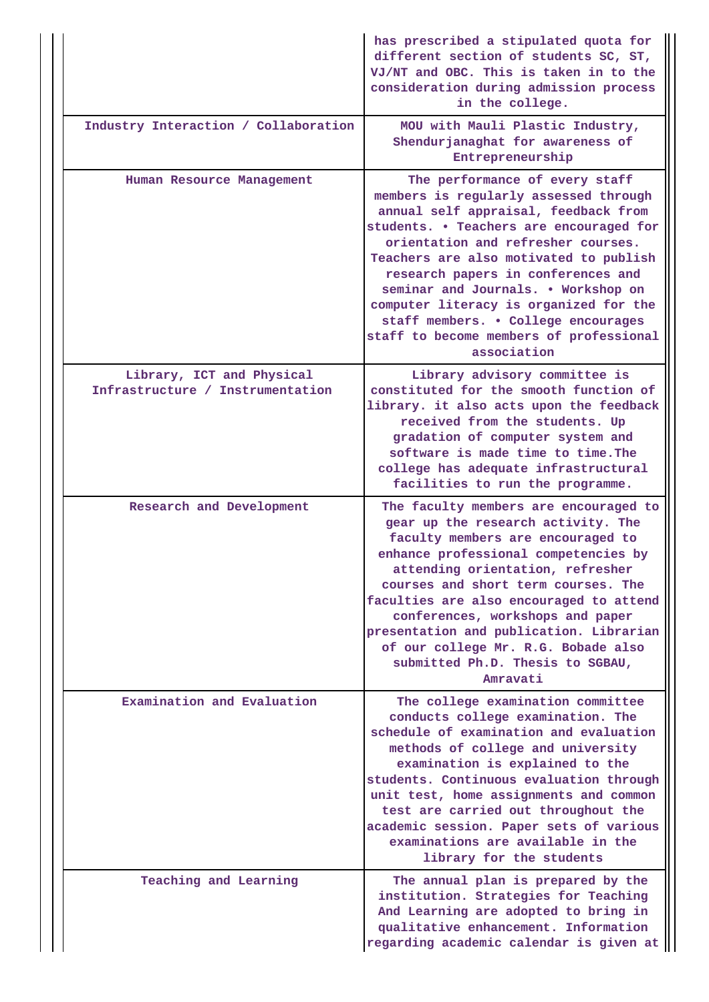|                                                               | has prescribed a stipulated quota for<br>different section of students SC, ST,<br>VJ/NT and OBC. This is taken in to the<br>consideration during admission process<br>in the college.                                                                                                                                                                                                                                                                              |
|---------------------------------------------------------------|--------------------------------------------------------------------------------------------------------------------------------------------------------------------------------------------------------------------------------------------------------------------------------------------------------------------------------------------------------------------------------------------------------------------------------------------------------------------|
| Industry Interaction / Collaboration                          | MOU with Mauli Plastic Industry,<br>Shendurjanaghat for awareness of<br>Entrepreneurship                                                                                                                                                                                                                                                                                                                                                                           |
| Human Resource Management                                     | The performance of every staff<br>members is regularly assessed through<br>annual self appraisal, feedback from<br>students. . Teachers are encouraged for<br>orientation and refresher courses.<br>Teachers are also motivated to publish<br>research papers in conferences and<br>seminar and Journals. . Workshop on<br>computer literacy is organized for the<br>staff members. . College encourages<br>staff to become members of professional<br>association |
| Library, ICT and Physical<br>Infrastructure / Instrumentation | Library advisory committee is<br>constituted for the smooth function of<br>library. it also acts upon the feedback<br>received from the students. Up<br>gradation of computer system and<br>software is made time to time. The<br>college has adequate infrastructural<br>facilities to run the programme.                                                                                                                                                         |
| Research and Development                                      | The faculty members are encouraged to<br>gear up the research activity. The<br>faculty members are encouraged to<br>enhance professional competencies by<br>attending orientation, refresher<br>courses and short term courses. The<br>faculties are also encouraged to attend<br>conferences, workshops and paper<br>presentation and publication. Librarian<br>of our college Mr. R.G. Bobade also<br>submitted Ph.D. Thesis to SGBAU,<br>Amravati               |
| Examination and Evaluation                                    | The college examination committee<br>conducts college examination. The<br>schedule of examination and evaluation<br>methods of college and university<br>examination is explained to the<br>students. Continuous evaluation through<br>unit test, home assignments and common<br>test are carried out throughout the<br>academic session. Paper sets of various<br>examinations are available in the<br>library for the students                                   |
| Teaching and Learning                                         | The annual plan is prepared by the<br>institution. Strategies for Teaching<br>And Learning are adopted to bring in<br>qualitative enhancement. Information<br>regarding academic calendar is given at                                                                                                                                                                                                                                                              |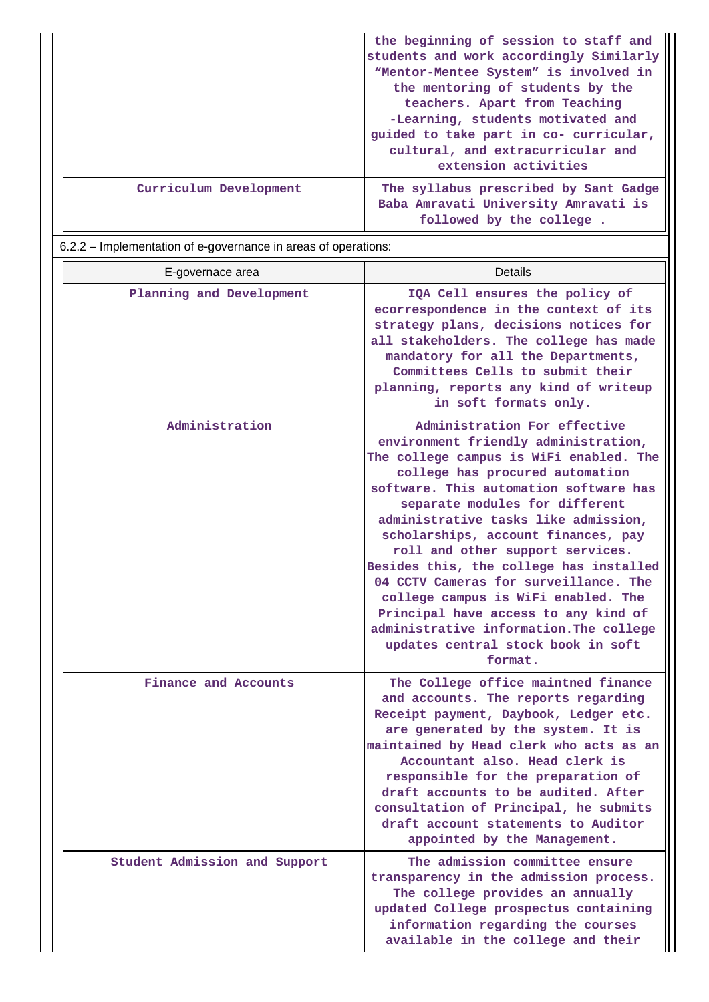|                        | the beginning of session to staff and<br>students and work accordingly Similarly<br>"Mentor-Mentee System" is involved in<br>the mentoring of students by the<br>teachers. Apart from Teaching<br>-Learning, students motivated and<br>guided to take part in co- curricular,<br>cultural, and extracurricular and<br>extension activities |
|------------------------|--------------------------------------------------------------------------------------------------------------------------------------------------------------------------------------------------------------------------------------------------------------------------------------------------------------------------------------------|
| Curriculum Development | The syllabus prescribed by Sant Gadge<br>Baba Amravati University Amravati is<br>followed by the college.                                                                                                                                                                                                                                  |

6.2.2 – Implementation of e-governance in areas of operations:

| E-governace area              | <b>Details</b>                                                                                                                                                                                                                                                                                                                                                                                                                                                                                                                                                                                                   |
|-------------------------------|------------------------------------------------------------------------------------------------------------------------------------------------------------------------------------------------------------------------------------------------------------------------------------------------------------------------------------------------------------------------------------------------------------------------------------------------------------------------------------------------------------------------------------------------------------------------------------------------------------------|
| Planning and Development      | IQA Cell ensures the policy of<br>ecorrespondence in the context of its<br>strategy plans, decisions notices for<br>all stakeholders. The college has made<br>mandatory for all the Departments,<br>Committees Cells to submit their<br>planning, reports any kind of writeup<br>in soft formats only.                                                                                                                                                                                                                                                                                                           |
| Administration                | Administration For effective<br>environment friendly administration,<br>The college campus is WiFi enabled. The<br>college has procured automation<br>software. This automation software has<br>separate modules for different<br>administrative tasks like admission,<br>scholarships, account finances, pay<br>roll and other support services.<br>Besides this, the college has installed<br>04 CCTV Cameras for surveillance. The<br>college campus is WiFi enabled. The<br>Principal have access to any kind of<br>administrative information. The college<br>updates central stock book in soft<br>format. |
| Finance and Accounts          | The College office maintned finance<br>and accounts. The reports regarding<br>Receipt payment, Daybook, Ledger etc.<br>are generated by the system. It is<br>maintained by Head clerk who acts as an<br>Accountant also. Head clerk is<br>responsible for the preparation of<br>draft accounts to be audited. After<br>consultation of Principal, he submits<br>draft account statements to Auditor<br>appointed by the Management.                                                                                                                                                                              |
| Student Admission and Support | The admission committee ensure<br>transparency in the admission process.<br>The college provides an annually<br>updated College prospectus containing<br>information regarding the courses<br>available in the college and their                                                                                                                                                                                                                                                                                                                                                                                 |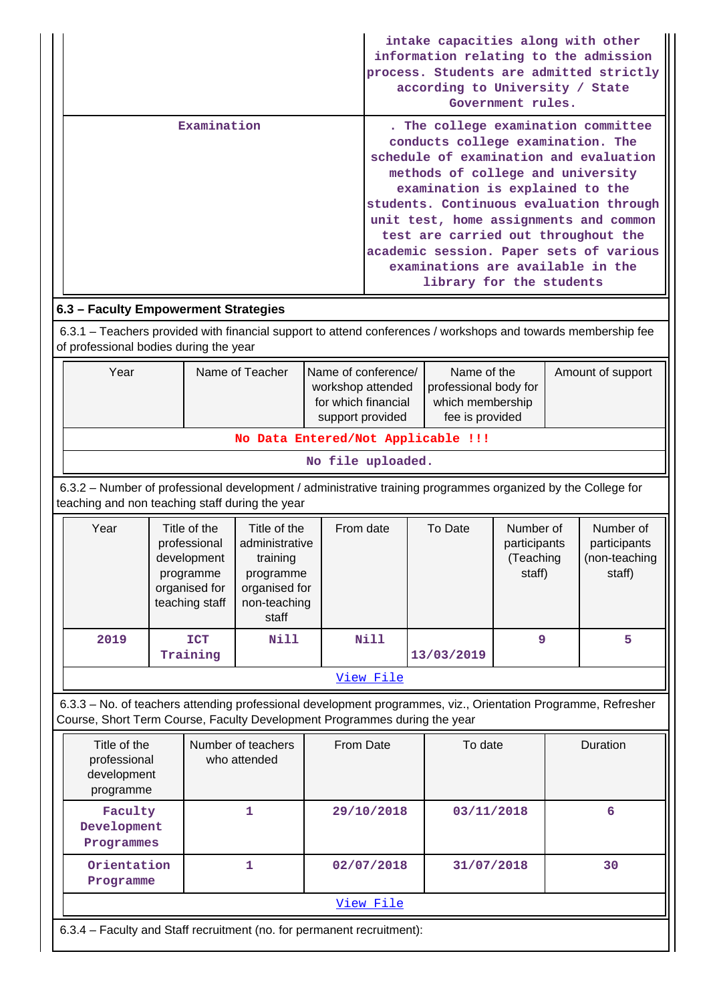|                                                                                                                                                                                            |  |                                                                                             |                                                                                                   |                                                                                                  |                   |  | intake capacities along with other<br>according to University / State                                                                                                                                             | Government rules.                                |   | information relating to the admission<br>process. Students are admitted strictly                                                                                                                              |
|--------------------------------------------------------------------------------------------------------------------------------------------------------------------------------------------|--|---------------------------------------------------------------------------------------------|---------------------------------------------------------------------------------------------------|--------------------------------------------------------------------------------------------------|-------------------|--|-------------------------------------------------------------------------------------------------------------------------------------------------------------------------------------------------------------------|--------------------------------------------------|---|---------------------------------------------------------------------------------------------------------------------------------------------------------------------------------------------------------------|
| Examination                                                                                                                                                                                |  |                                                                                             |                                                                                                   |                                                                                                  |                   |  | conducts college examination. The<br>methods of college and university<br>examination is explained to the<br>test are carried out throughout the<br>examinations are available in the<br>library for the students |                                                  |   | . The college examination committee<br>schedule of examination and evaluation<br>students. Continuous evaluation through<br>unit test, home assignments and common<br>academic session. Paper sets of various |
| 6.3 - Faculty Empowerment Strategies                                                                                                                                                       |  |                                                                                             |                                                                                                   |                                                                                                  |                   |  |                                                                                                                                                                                                                   |                                                  |   |                                                                                                                                                                                                               |
| 6.3.1 – Teachers provided with financial support to attend conferences / workshops and towards membership fee<br>of professional bodies during the year                                    |  |                                                                                             |                                                                                                   |                                                                                                  |                   |  |                                                                                                                                                                                                                   |                                                  |   |                                                                                                                                                                                                               |
| Year<br>Name of Teacher                                                                                                                                                                    |  |                                                                                             | Name of conference/<br>workshop attended<br>for which financial<br>support provided               | Name of the<br>Amount of support<br>professional body for<br>which membership<br>fee is provided |                   |  |                                                                                                                                                                                                                   |                                                  |   |                                                                                                                                                                                                               |
|                                                                                                                                                                                            |  |                                                                                             | No Data Entered/Not Applicable !!!                                                                |                                                                                                  |                   |  |                                                                                                                                                                                                                   |                                                  |   |                                                                                                                                                                                                               |
|                                                                                                                                                                                            |  |                                                                                             |                                                                                                   |                                                                                                  | No file uploaded. |  |                                                                                                                                                                                                                   |                                                  |   |                                                                                                                                                                                                               |
| 6.3.2 - Number of professional development / administrative training programmes organized by the College for<br>teaching and non teaching staff during the year                            |  |                                                                                             |                                                                                                   |                                                                                                  |                   |  |                                                                                                                                                                                                                   |                                                  |   |                                                                                                                                                                                                               |
| Year                                                                                                                                                                                       |  | Title of the<br>professional<br>development<br>programme<br>organised for<br>teaching staff | Title of the<br>administrative<br>training<br>programme<br>organised for<br>non-teaching<br>staff |                                                                                                  | From date         |  | To Date                                                                                                                                                                                                           | Number of<br>participants<br>(Teaching<br>staff) |   | Number of<br>participants<br>(non-teaching<br>staff)                                                                                                                                                          |
| 2019                                                                                                                                                                                       |  | <b>ICT</b><br>Training                                                                      | <b>Nill</b>                                                                                       |                                                                                                  | Nill              |  | 13/03/2019                                                                                                                                                                                                        | 9                                                |   | 5                                                                                                                                                                                                             |
|                                                                                                                                                                                            |  |                                                                                             |                                                                                                   |                                                                                                  | View File         |  |                                                                                                                                                                                                                   |                                                  |   |                                                                                                                                                                                                               |
| 6.3.3 - No. of teachers attending professional development programmes, viz., Orientation Programme, Refresher<br>Course, Short Term Course, Faculty Development Programmes during the year |  |                                                                                             |                                                                                                   |                                                                                                  |                   |  |                                                                                                                                                                                                                   |                                                  |   |                                                                                                                                                                                                               |
| Title of the<br>Number of teachers<br>professional<br>who attended<br>development<br>programme                                                                                             |  |                                                                                             | From Date                                                                                         | To date                                                                                          |                   |  |                                                                                                                                                                                                                   | Duration                                         |   |                                                                                                                                                                                                               |
| Faculty<br>Development<br>Programmes                                                                                                                                                       |  | 1                                                                                           |                                                                                                   |                                                                                                  | 29/10/2018        |  | 03/11/2018                                                                                                                                                                                                        |                                                  | 6 |                                                                                                                                                                                                               |
| Orientation<br>Programme                                                                                                                                                                   |  |                                                                                             | 1                                                                                                 |                                                                                                  | 02/07/2018        |  | 31/07/2018                                                                                                                                                                                                        |                                                  |   | 30                                                                                                                                                                                                            |
| View File                                                                                                                                                                                  |  |                                                                                             |                                                                                                   |                                                                                                  |                   |  |                                                                                                                                                                                                                   |                                                  |   |                                                                                                                                                                                                               |

6.3.4 – Faculty and Staff recruitment (no. for permanent recruitment):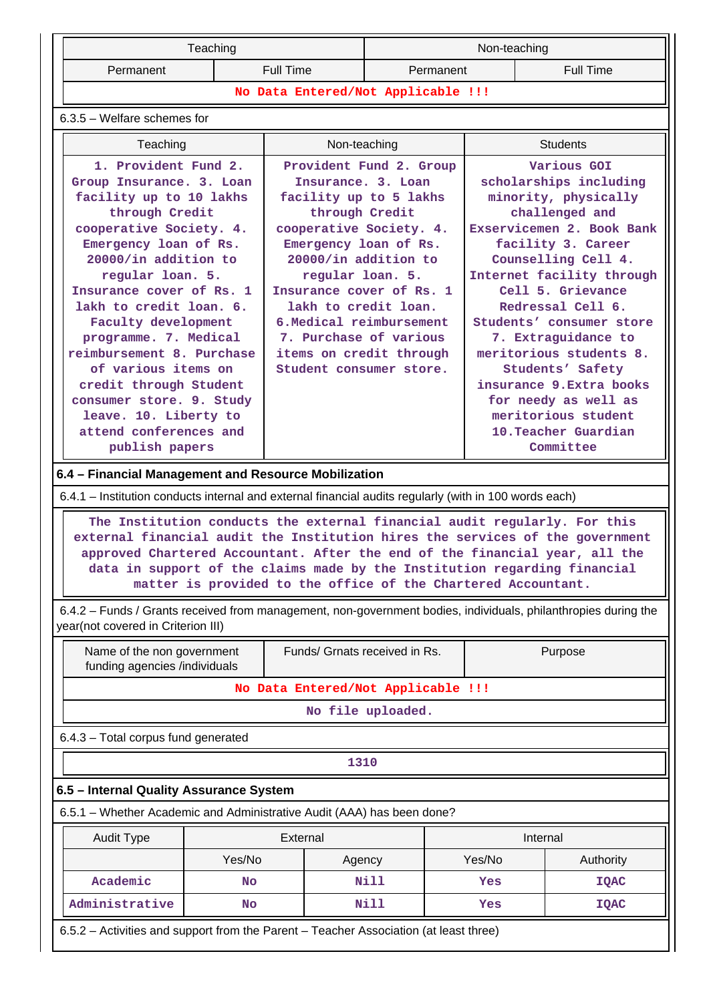| Teaching                                                                                      |  |                                                                          | Non-teaching            |                 |                                                                                 |  |
|-----------------------------------------------------------------------------------------------|--|--------------------------------------------------------------------------|-------------------------|-----------------|---------------------------------------------------------------------------------|--|
| Permanent                                                                                     |  | <b>Full Time</b>                                                         | Permanent               |                 | Full Time                                                                       |  |
| No Data Entered/Not Applicable !!!                                                            |  |                                                                          |                         |                 |                                                                                 |  |
| $6.3.5$ – Welfare schemes for                                                                 |  |                                                                          |                         |                 |                                                                                 |  |
| Teaching<br>Non-teaching                                                                      |  |                                                                          |                         | <b>Students</b> |                                                                                 |  |
| 1. Provident Fund 2.<br>Group Insurance. 3. Loan<br>facility up to 10 lakhs<br>through Credit |  | Insurance. 3. Loan<br>facility up to 5 lakhs<br>through Credit           | Provident Fund 2. Group |                 | Various GOI<br>scholarships including<br>minority, physically<br>challenged and |  |
| cooperative Society. 4.<br>Emergency loan of Rs.<br>20000/in addition to                      |  | cooperative Society. 4.<br>Emergency loan of Rs.<br>20000/in addition to |                         |                 | Exservicemen 2. Book Bank<br>facility 3. Career<br>Counselling Cell 4.          |  |

**regular loan. 5. Insurance cover of Rs. 1 lakh to credit loan. 6.Medical reimbursement 7. Purchase of various items on credit through Student consumer store.**

**Internet facility through Cell 5. Grievance Redressal Cell 6. Students' consumer store 7. Extraguidance to meritorious students 8. Students' Safety insurance 9.Extra books for needy as well as meritorious student 10.Teacher Guardian Committee**

**6.4 – Financial Management and Resource Mobilization**

**regular loan. 5. Insurance cover of Rs. 1 lakh to credit loan. 6. Faculty development programme. 7. Medical reimbursement 8. Purchase of various items on credit through Student consumer store. 9. Study leave. 10. Liberty to attend conferences and publish papers**

6.4.1 – Institution conducts internal and external financial audits regularly (with in 100 words each)

 **The Institution conducts the external financial audit regularly. For this external financial audit the Institution hires the services of the government approved Chartered Accountant. After the end of the financial year, all the data in support of the claims made by the Institution regarding financial matter is provided to the office of the Chartered Accountant.**

 6.4.2 – Funds / Grants received from management, non-government bodies, individuals, philanthropies during the year(not covered in Criterion III)

| Name of the non government<br>funding agencies /individuals                           |                                         | Funds/ Grnats received in Rs.                                          |        | Purpose   |  |  |  |
|---------------------------------------------------------------------------------------|-----------------------------------------|------------------------------------------------------------------------|--------|-----------|--|--|--|
|                                                                                       | No Data Entered/Not Applicable !!!      |                                                                        |        |           |  |  |  |
| No file uploaded.                                                                     |                                         |                                                                        |        |           |  |  |  |
| $6.4.3$ – Total corpus fund generated                                                 |                                         |                                                                        |        |           |  |  |  |
|                                                                                       | 1310                                    |                                                                        |        |           |  |  |  |
| 6.5 - Internal Quality Assurance System                                               |                                         |                                                                        |        |           |  |  |  |
|                                                                                       |                                         | 6.5.1 – Whether Academic and Administrative Audit (AAA) has been done? |        |           |  |  |  |
| <b>Audit Type</b>                                                                     |                                         | External                                                               |        | Internal  |  |  |  |
|                                                                                       | Yes/No                                  | Agency                                                                 | Yes/No | Authority |  |  |  |
| Academic                                                                              | <b>No</b>                               | Nill                                                                   | Yes    | IQAC      |  |  |  |
| Administrative                                                                        | Nill<br><b>No</b><br>Yes<br><b>IQAC</b> |                                                                        |        |           |  |  |  |
| 6.5.2 – Activities and support from the Parent – Teacher Association (at least three) |                                         |                                                                        |        |           |  |  |  |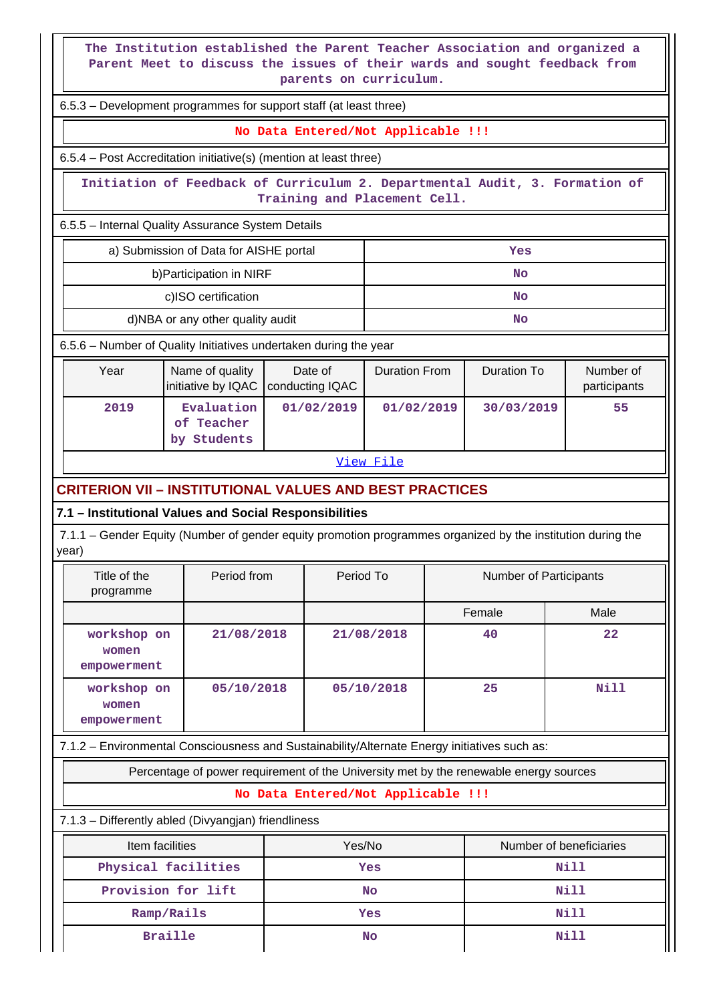**The Institution established the Parent Teacher Association and organized a Parent Meet to discuss the issues of their wards and sought feedback from parents on curriculum.**

6.5.3 – Development programmes for support staff (at least three)

**No Data Entered/Not Applicable !!!**

6.5.4 – Post Accreditation initiative(s) (mention at least three)

 **Initiation of Feedback of Curriculum 2. Departmental Audit, 3. Formation of Training and Placement Cell.**

6.5.5 – Internal Quality Assurance System Details

| a) Submission of Data for AISHE portal | Yes |
|----------------------------------------|-----|
| b) Participation in NIRF               | No  |
| c)ISO certification                    | No  |
| d)NBA or any other quality audit       | No  |

6.5.6 – Number of Quality Initiatives undertaken during the year

| Year | Name of quality<br>initiative by IQAC   conducting IQAC | Date of    | Duration From | Duration To | Number of<br>participants |
|------|---------------------------------------------------------|------------|---------------|-------------|---------------------------|
| 2019 | Evaluation<br>of Teacher<br>Students<br>bv              | 01/02/2019 | 01/02/2019    | 30/03/2019  | 55                        |

### [View File](https://assessmentonline.naac.gov.in/public/Postacc/Quality_Initiatives_B/17418_Quality_Initiatives_B_1640839244.xlsx)

## **CRITERION VII – INSTITUTIONAL VALUES AND BEST PRACTICES**

#### **7.1 – Institutional Values and Social Responsibilities**

 7.1.1 – Gender Equity (Number of gender equity promotion programmes organized by the institution during the year)

| Title of the<br>programme           | Period from | Period To  | Number of Participants |      |
|-------------------------------------|-------------|------------|------------------------|------|
|                                     |             |            | Female                 | Male |
| workshop on<br>women<br>empowerment | 21/08/2018  | 21/08/2018 | 40                     | 22   |
| workshop on<br>women<br>empowerment | 05/10/2018  | 05/10/2018 | 25                     | Nill |

7.1.2 – Environmental Consciousness and Sustainability/Alternate Energy initiatives such as:

Percentage of power requirement of the University met by the renewable energy sources

**No Data Entered/Not Applicable !!!**

7.1.3 – Differently abled (Divyangjan) friendliness

| Item facilities     | Yes/No | Number of beneficiaries |
|---------------------|--------|-------------------------|
| Physical facilities | Yes    | Nill                    |
| Provision for lift  | No     | Nill                    |
| Ramp/Rails          | Yes    | Nill                    |
| <b>Braille</b>      | No     | Nill                    |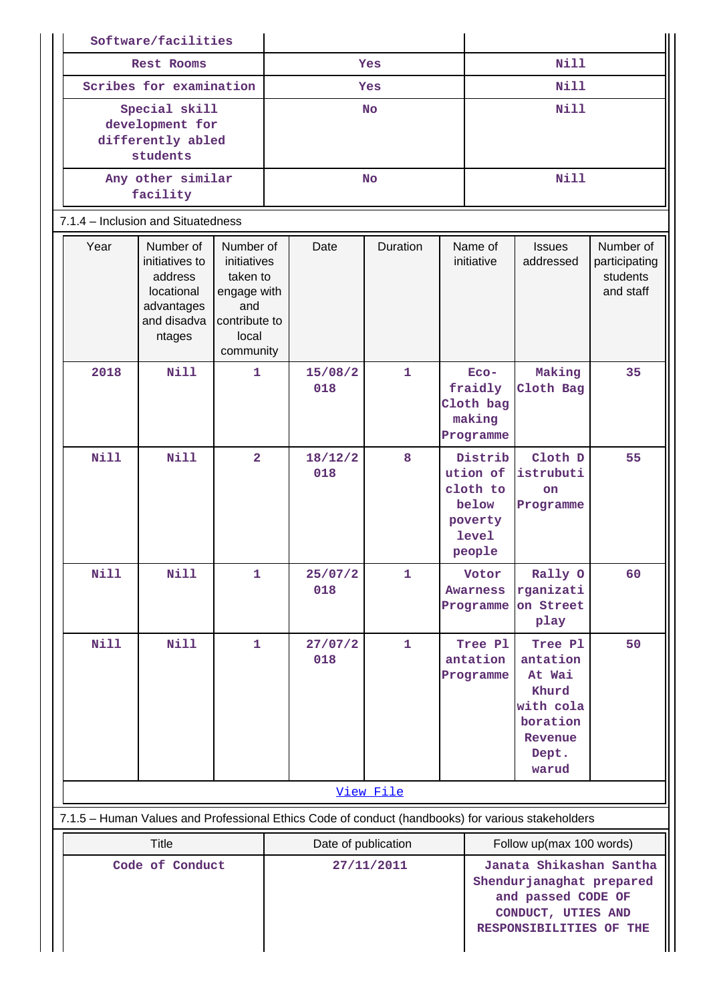|                                                                                                   |                                                                   | Software/facilities                                                                         |                                                                                                   |                                   |                                                                     |              |                                                                                 |                                                                        |                                                                                              |                                                     |
|---------------------------------------------------------------------------------------------------|-------------------------------------------------------------------|---------------------------------------------------------------------------------------------|---------------------------------------------------------------------------------------------------|-----------------------------------|---------------------------------------------------------------------|--------------|---------------------------------------------------------------------------------|------------------------------------------------------------------------|----------------------------------------------------------------------------------------------|-----------------------------------------------------|
|                                                                                                   | Rest Rooms                                                        |                                                                                             | Yes                                                                                               |                                   |                                                                     | Nill         |                                                                                 |                                                                        |                                                                                              |                                                     |
|                                                                                                   | Scribes for examination                                           |                                                                                             |                                                                                                   | Yes                               |                                                                     |              | <b>Nill</b>                                                                     |                                                                        |                                                                                              |                                                     |
|                                                                                                   | Special skill<br>development for<br>differently abled<br>students |                                                                                             |                                                                                                   | <b>No</b>                         |                                                                     |              | <b>Nill</b>                                                                     |                                                                        |                                                                                              |                                                     |
|                                                                                                   |                                                                   | Any other similar<br>facility                                                               |                                                                                                   | <b>No</b>                         |                                                                     |              | <b>Nill</b>                                                                     |                                                                        |                                                                                              |                                                     |
|                                                                                                   |                                                                   | 7.1.4 - Inclusion and Situatedness                                                          |                                                                                                   |                                   |                                                                     |              |                                                                                 |                                                                        |                                                                                              |                                                     |
|                                                                                                   | Year                                                              | Number of<br>initiatives to<br>address<br>locational<br>advantages<br>and disadva<br>ntages | Number of<br>initiatives<br>taken to<br>engage with<br>and<br>contribute to<br>local<br>community |                                   | Date                                                                | Duration     |                                                                                 | Name of<br>initiative                                                  | <b>Issues</b><br>addressed                                                                   | Number of<br>participating<br>students<br>and staff |
|                                                                                                   | 2018                                                              | <b>Nill</b>                                                                                 | $\mathbf{1}$                                                                                      |                                   | 15/08/2<br>018                                                      | $\mathbf{1}$ |                                                                                 | $ECO-$<br>fraidly<br>Cloth bag<br>making<br>Programme                  | Making<br>Cloth Bag                                                                          | 35                                                  |
|                                                                                                   | Nill                                                              | <b>Nill</b>                                                                                 | $\overline{2}$                                                                                    |                                   | 18/12/2<br>018                                                      | 8            |                                                                                 | Distrib<br>ution of<br>cloth to<br>below<br>poverty<br>level<br>people | Cloth D<br>istrubuti<br>on<br>Programme                                                      | 55                                                  |
|                                                                                                   | <b>Nill</b>                                                       | Nill                                                                                        | 1                                                                                                 |                                   | 25/07/2<br>018                                                      | 1            |                                                                                 | Votor<br><b>Awarness</b><br>Programme                                  | Rally O<br>rganizati<br>on Street<br>play                                                    | 60                                                  |
|                                                                                                   | <b>Nill</b>                                                       | Nill                                                                                        | $\mathbf{1}$                                                                                      |                                   | 27/07/2<br>018                                                      | $\mathbf{1}$ |                                                                                 | Tree Pl<br>antation<br>Programme                                       | Tree Pl<br>antation<br>At Wai<br>Khurd<br>with cola<br>boration<br>Revenue<br>Dept.<br>warud | 50                                                  |
|                                                                                                   |                                                                   |                                                                                             | View File                                                                                         |                                   |                                                                     |              |                                                                                 |                                                                        |                                                                                              |                                                     |
| 7.1.5 - Human Values and Professional Ethics Code of conduct (handbooks) for various stakeholders |                                                                   |                                                                                             |                                                                                                   |                                   |                                                                     |              |                                                                                 |                                                                        |                                                                                              |                                                     |
|                                                                                                   | <b>Title</b><br>Code of Conduct                                   |                                                                                             |                                                                                                   | Date of publication<br>27/11/2011 |                                                                     |              | Follow up(max 100 words)<br>Janata Shikashan Santha<br>Shendurjanaghat prepared |                                                                        |                                                                                              |                                                     |
|                                                                                                   |                                                                   |                                                                                             |                                                                                                   |                                   | and passed CODE OF<br>CONDUCT, UTIES AND<br>RESPONSIBILITIES OF THE |              |                                                                                 |                                                                        |                                                                                              |                                                     |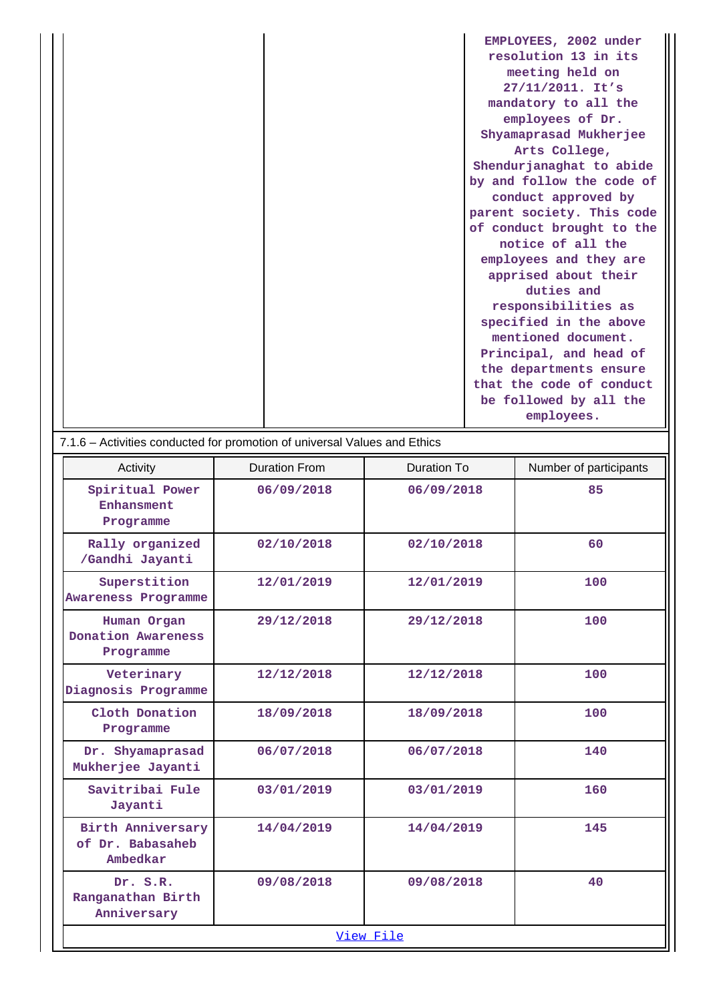| EMPLOYEES, 2002 under     |
|---------------------------|
| resolution 13 in its      |
| meeting held on           |
| 27/11/2011. It's          |
| mandatory to all the      |
| employees of Dr.          |
| Shyamaprasad Mukherjee    |
| Arts College,             |
| Shendurjanaghat to abide  |
| by and follow the code of |
| conduct approved by       |
| parent society. This code |
| of conduct brought to the |
| notice of all the         |
| employees and they are    |
| apprised about their      |
| duties and                |
| responsibilities as       |
| specified in the above    |
| mentioned document.       |
| Principal, and head of    |
| the departments ensure    |
| that the code of conduct  |
| be followed by all the    |
| employees.                |
|                           |

| 7.1.6 – Activities conducted for promotion of universal Values and Ethics |                      |             |                        |  |  |  |  |
|---------------------------------------------------------------------------|----------------------|-------------|------------------------|--|--|--|--|
| Activity                                                                  | <b>Duration From</b> | Duration To | Number of participants |  |  |  |  |
| Spiritual Power<br>Enhansment<br>Programme                                | 06/09/2018           | 06/09/2018  | 85                     |  |  |  |  |
| Rally organized<br>/Gandhi Jayanti                                        | 02/10/2018           | 02/10/2018  | 60                     |  |  |  |  |
| Superstition<br><b>Awareness Programme</b>                                | 12/01/2019           | 12/01/2019  | 100                    |  |  |  |  |
| Human Organ<br>Donation Awareness<br>Programme                            | 29/12/2018           | 29/12/2018  | 100                    |  |  |  |  |
| Veterinary<br>Diagnosis Programme                                         | 12/12/2018           | 12/12/2018  | 100                    |  |  |  |  |
| Cloth Donation<br>Programme                                               | 18/09/2018           | 18/09/2018  | 100                    |  |  |  |  |
| Dr. Shyamaprasad<br>Mukherjee Jayanti                                     | 06/07/2018           | 06/07/2018  | 140                    |  |  |  |  |
| Savitribai Fule<br>Jayanti                                                | 03/01/2019           | 03/01/2019  | 160                    |  |  |  |  |
| <b>Birth Anniversary</b><br>of Dr. Babasaheb<br>Ambedkar                  | 14/04/2019           | 14/04/2019  | 145                    |  |  |  |  |
| Dr. S.R.<br>Ranganathan Birth<br>Anniversary                              | 09/08/2018           | 09/08/2018  | 40                     |  |  |  |  |
| View File                                                                 |                      |             |                        |  |  |  |  |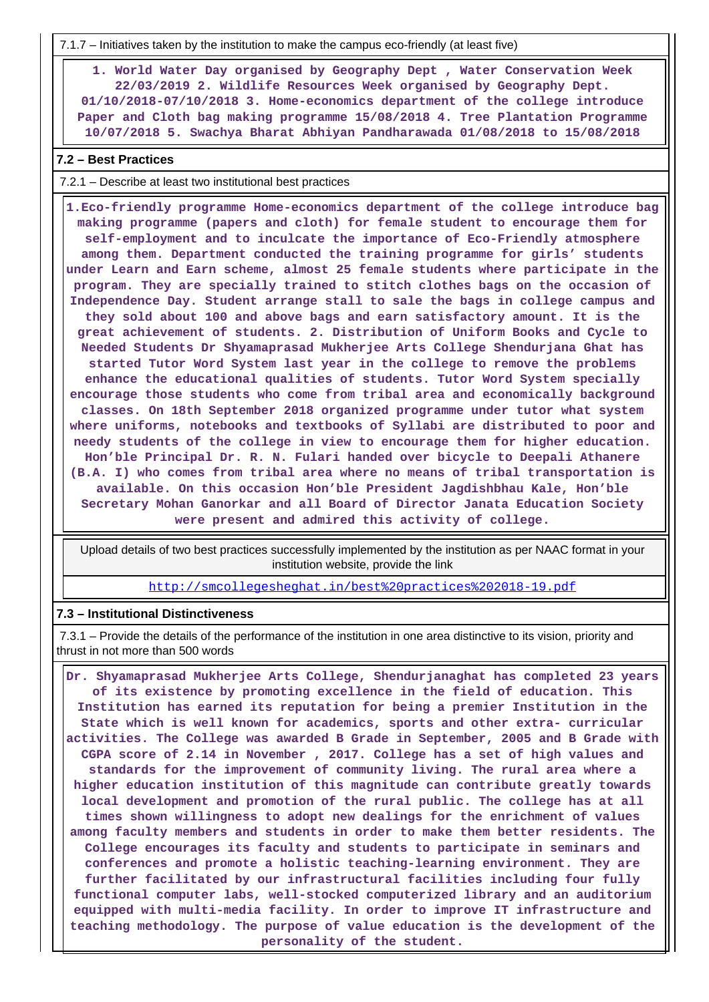7.1.7 – Initiatives taken by the institution to make the campus eco-friendly (at least five)

 **1. World Water Day organised by Geography Dept , Water Conservation Week 22/03/2019 2. Wildlife Resources Week organised by Geography Dept. 01/10/2018-07/10/2018 3. Home-economics department of the college introduce Paper and Cloth bag making programme 15/08/2018 4. Tree Plantation Programme 10/07/2018 5. Swachya Bharat Abhiyan Pandharawada 01/08/2018 to 15/08/2018**

#### **7.2 – Best Practices**

7.2.1 – Describe at least two institutional best practices

 **1.Eco-friendly programme Home-economics department of the college introduce bag making programme (papers and cloth) for female student to encourage them for self-employment and to inculcate the importance of Eco-Friendly atmosphere among them. Department conducted the training programme for girls' students under Learn and Earn scheme, almost 25 female students where participate in the program. They are specially trained to stitch clothes bags on the occasion of Independence Day. Student arrange stall to sale the bags in college campus and they sold about 100 and above bags and earn satisfactory amount. It is the great achievement of students. 2. Distribution of Uniform Books and Cycle to Needed Students Dr Shyamaprasad Mukherjee Arts College Shendurjana Ghat has started Tutor Word System last year in the college to remove the problems enhance the educational qualities of students. Tutor Word System specially encourage those students who come from tribal area and economically background classes. On 18th September 2018 organized programme under tutor what system where uniforms, notebooks and textbooks of Syllabi are distributed to poor and needy students of the college in view to encourage them for higher education. Hon'ble Principal Dr. R. N. Fulari handed over bicycle to Deepali Athanere (B.A. I) who comes from tribal area where no means of tribal transportation is available. On this occasion Hon'ble President Jagdishbhau Kale, Hon'ble Secretary Mohan Ganorkar and all Board of Director Janata Education Society were present and admired this activity of college.**

 Upload details of two best practices successfully implemented by the institution as per NAAC format in your institution website, provide the link

<http://smcollegesheghat.in/best%20practices%202018-19.pdf>

#### **7.3 – Institutional Distinctiveness**

 7.3.1 – Provide the details of the performance of the institution in one area distinctive to its vision, priority and thrust in not more than 500 words

 **Dr. Shyamaprasad Mukherjee Arts College, Shendurjanaghat has completed 23 years of its existence by promoting excellence in the field of education. This Institution has earned its reputation for being a premier Institution in the State which is well known for academics, sports and other extra- curricular activities. The College was awarded B Grade in September, 2005 and B Grade with CGPA score of 2.14 in November , 2017. College has a set of high values and standards for the improvement of community living. The rural area where a higher education institution of this magnitude can contribute greatly towards local development and promotion of the rural public. The college has at all times shown willingness to adopt new dealings for the enrichment of values among faculty members and students in order to make them better residents. The College encourages its faculty and students to participate in seminars and conferences and promote a holistic teaching-learning environment. They are further facilitated by our infrastructural facilities including four fully functional computer labs, well-stocked computerized library and an auditorium equipped with multi-media facility. In order to improve IT infrastructure and teaching methodology. The purpose of value education is the development of the personality of the student.**